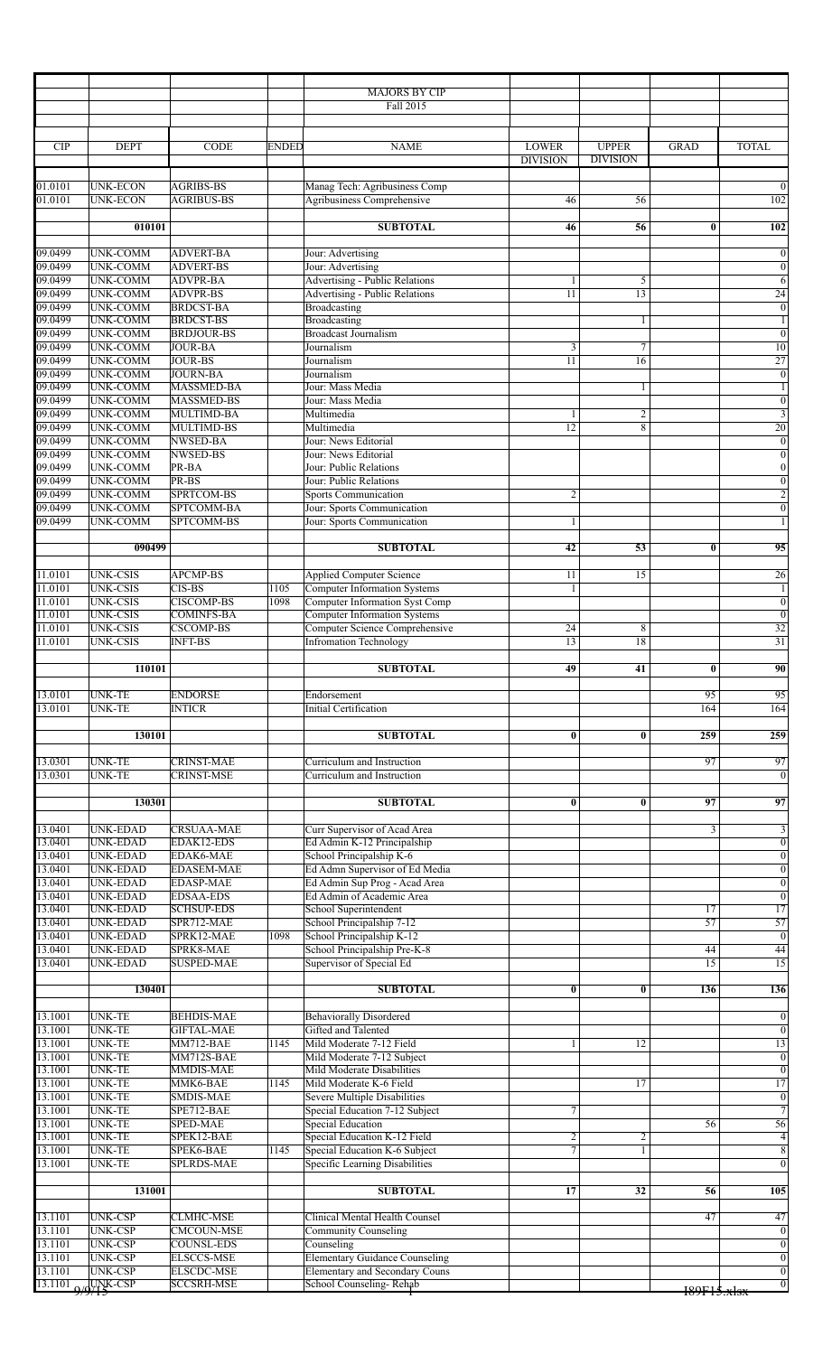| <b>CIP</b><br><b>DEPT</b><br><b>ENDED</b><br><b>LOWER</b><br><b>UPPER</b><br><b>TOTAL</b><br><b>CODE</b><br><b>NAME</b><br><b>GRAD</b><br><b>DIVISION</b><br><b>DIVISION</b><br>Manag Tech: Agribusiness Comp<br>01.0101<br>UNK-ECON<br><b>AGRIBS-BS</b><br><b>Agribusiness Comprehensive</b><br>01.0101<br><b>UNK-ECON</b><br><b>AGRIBUS-BS</b><br>46<br>56<br><b>SUBTOTAL</b><br>010101<br>56<br>46<br>$\bf{0}$<br>09.0499<br><b>UNK-COMM</b><br><b>ADVERT-BA</b><br>Jour: Advertising<br>09.0499<br><b>UNK-COMM</b><br><b>ADVERT-BS</b><br>Jour: Advertising<br>09.0499<br><b>UNK-COMM</b><br><b>ADVPR-BA</b><br><b>Advertising - Public Relations</b><br>5<br>1<br>09.0499<br><b>Advertising - Public Relations</b><br><b>UNK-COMM</b><br><b>ADVPR-BS</b><br>$\overline{11}$<br>$\overline{13}$<br>09.0499<br><b>BRDCST-BA</b><br><b>UNK-COMM</b><br>Broadcasting<br>09.0499<br><b>BRDCST-BS</b><br><b>UNK-COMM</b><br>Broadcasting<br>1<br><b>Broadcast Journalism</b><br>09.0499<br><b>BRDJOUR-BS</b><br><b>UNK-COMM</b><br>09.0499<br><b>UNK-COMM</b><br><b>JOUR-BA</b><br>Journalism<br>3<br>7<br>09.0499<br><b>UNK-COMM</b><br><b>JOUR-BS</b><br>Journalism<br>11<br>16<br>09.0499<br><b>UNK-COMM</b><br><b>JOURN-BA</b><br>Journalism<br>09.0499<br><b>UNK-COMM</b><br><b>MASSMED-BA</b><br>Jour: Mass Media<br>1<br>09.0499<br><b>UNK-COMM</b><br><b>MASSMED-BS</b><br>Jour: Mass Media<br>09.0499<br><b>UNK-COMM</b><br><b>MULTIMD-BA</b><br>Multimedia<br>$\overline{c}$<br>1<br>09.0499<br><b>UNK-COMM</b><br>MULTIMD-BS<br>12<br>8<br>Multimedia<br>09.0499<br><b>UNK-COMM</b><br><b>NWSED-BA</b><br>Jour: News Editorial<br>09.0499<br><b>NWSED-BS</b><br><b>UNK-COMM</b><br>Jour: News Editorial<br>09.0499<br><b>UNK-COMM</b><br>PR-BA<br>Jour: Public Relations<br>09.0499<br>PR-BS<br><b>UNK-COMM</b><br>Jour: Public Relations<br>09.0499<br>SPRTCOM-BS<br><b>UNK-COMM</b><br>$\overline{2}$<br><b>Sports Communication</b><br>09.0499<br>SPTCOMM-BA<br><b>UNK-COMM</b><br>Jour: Sports Communication<br>09.0499<br>SPTCOMM-BS<br>Jour: Sports Communication<br>UNK-COMM<br>1<br>090499<br><b>SUBTOTAL</b><br>42<br>53<br>$\bf{0}$<br>11.0101<br><b>UNK-CSIS</b><br>APCMP-BS<br><b>Applied Computer Science</b><br>15<br>11<br><b>UNK-CSIS</b><br>Computer Information Systems<br>11.0101<br><b>CIS-BS</b><br>1105<br>1<br><b>UNK-CSIS</b><br>11.0101<br><b>CISCOMP-BS</b><br>1098<br>Computer Information Syst Comp<br>11.0101<br><b>UNK-CSIS</b><br><b>COMINFS-BA</b><br>Computer Information Systems<br>11.0101<br><b>UNK-CSIS</b><br>Computer Science Comprehensive<br><b>CSCOMP-BS</b><br>24<br>8<br>$\overline{13}$<br>$\overline{18}$<br>11.0101<br><b>UNK-CSIS</b><br><b>INFT-BS</b><br><b>Infromation Technology</b><br><b>SUBTOTAL</b><br>49<br>41<br>$\bf{0}$<br>110101<br><b>UNK-TE</b><br>13.0101<br><b>ENDORSE</b><br>95<br>Endorsement<br><b>UNK-TE</b><br>13.0101<br><b>INTICR</b><br><b>Initial Certification</b><br>164<br>130101<br><b>SUBTOTAL</b><br>$\bf{0}$<br>$\bf{0}$<br>259<br><b>CRINST-MAE</b><br>$\overline{97}$<br>13.0301<br><b>UNK-TE</b><br>Curriculum and Instruction<br>13.0301<br><b>UNK-TE</b><br><b>CRINST-MSE</b><br>Curriculum and Instruction<br><b>SUBTOTAL</b><br>130301<br>97<br>$\bf{0}$<br>$\bf{0}$<br>13.0401<br><b>UNK-EDAD</b><br><b>CRSUAA-MAE</b><br>$\overline{\mathbf{3}}$<br>Curr Supervisor of Acad Area<br>13.0401<br><b>UNK-EDAD</b><br>EDAK12-EDS<br>Ed Admin K-12 Principalship<br>13.0401<br><b>UNK-EDAD</b><br>EDAK6-MAE<br>School Principalship K-6<br>13.0401<br>Ed Admn Supervisor of Ed Media<br><b>UNK-EDAD</b><br><b>EDASEM-MAE</b><br>13.0401<br>Ed Admin Sup Prog - Acad Area<br><b>UNK-EDAD</b><br><b>EDASP-MAE</b><br>13.0401<br><b>UNK-EDAD</b><br><b>EDSAA-EDS</b><br>Ed Admin of Academic Area<br>13.0401<br><b>UNK-EDAD</b><br><b>SCHSUP-EDS</b><br>School Superintendent<br>17<br>13.0401<br><b>UNK-EDAD</b><br>SPR712-MAE<br>$\overline{57}$<br>School Principalship 7-12<br>13.0401<br><b>UNK-EDAD</b><br>SPRK12-MAE<br>School Principalship K-12<br>1098<br>13.0401<br><b>UNK-EDAD</b><br>SPRK8-MAE<br>School Principalship Pre-K-8<br>44<br>13.0401<br>Supervisor of Special Ed<br><b>UNK-EDAD</b><br><b>SUSPED-MAE</b><br>15<br>130401<br><b>SUBTOTAL</b><br>$\overline{\mathbf{0}}$<br>$\bf{0}$<br>136<br>13.1001<br><b>UNK-TE</b><br><b>BEHDIS-MAE</b><br><b>Behaviorally Disordered</b><br><b>UNK-TE</b><br>13.1001<br><b>GIFTAL-MAE</b><br>Gifted and Talented<br>13.1001<br><b>UNK-TE</b><br>Mild Moderate 7-12 Field<br><b>MM712-BAE</b><br>1145<br>12<br>1<br>13.1001<br><b>UNK-TE</b><br>MM712S-BAE<br>Mild Moderate 7-12 Subject<br>13.1001<br><b>UNK-TE</b><br><b>MMDIS-MAE</b><br><b>Mild Moderate Disabilities</b><br>13.1001<br><b>UNK-TE</b><br>MMK6-BAE<br>Mild Moderate K-6 Field<br>$\overline{17}$<br>1145<br>13.1001<br><b>UNK-TE</b><br>SMDIS-MAE<br>Severe Multiple Disabilities<br><b>UNK-TE</b><br>13.1001<br>SPE712-BAE<br>Special Education 7-12 Subject<br>7<br>13.1001<br><b>UNK-TE</b><br>SPED-MAE<br>Special Education<br>56<br>13.1001<br><b>UNK-TE</b><br>SPEK12-BAE<br>Special Education K-12 Field<br>$\overline{c}$<br>$\overline{c}$<br>7<br>SPEK6-BAE<br>Special Education K-6 Subject<br>13.1001<br><b>UNK-TE</b><br>1145<br>$\mathbf{1}$<br>13.1001<br><b>SPLRDS-MAE</b><br><b>UNK-TE</b><br>Specific Learning Disabilities<br><b>SUBTOTAL</b><br>131001<br>17<br>32<br>56<br>13.1101<br><b>UNK-CSP</b><br><b>CLMHC-MSE</b><br>Clinical Mental Health Counsel<br>47<br><b>UNK-CSP</b><br><b>CMCOUN-MSE</b><br>Community Counseling<br>13.1101<br>13.1101<br><b>COUNSL-EDS</b><br><b>UNK-CSP</b><br>Counseling<br><b>Elementary Guidance Counseling</b><br>13.1101<br><b>UNK-CSP</b><br><b>ELSCCS-MSE</b><br>13.1101<br><b>UNK-CSP</b><br>Elementary and Secondary Couns<br><b>ELSCDC-MSE</b><br><b>SCCSRH-MSE</b><br>School Counseling-Rehab<br>189F15. x lsx |  |  | <b>MAJORS BY CIP</b><br>Fall 2015 |  |                                            |
|-----------------------------------------------------------------------------------------------------------------------------------------------------------------------------------------------------------------------------------------------------------------------------------------------------------------------------------------------------------------------------------------------------------------------------------------------------------------------------------------------------------------------------------------------------------------------------------------------------------------------------------------------------------------------------------------------------------------------------------------------------------------------------------------------------------------------------------------------------------------------------------------------------------------------------------------------------------------------------------------------------------------------------------------------------------------------------------------------------------------------------------------------------------------------------------------------------------------------------------------------------------------------------------------------------------------------------------------------------------------------------------------------------------------------------------------------------------------------------------------------------------------------------------------------------------------------------------------------------------------------------------------------------------------------------------------------------------------------------------------------------------------------------------------------------------------------------------------------------------------------------------------------------------------------------------------------------------------------------------------------------------------------------------------------------------------------------------------------------------------------------------------------------------------------------------------------------------------------------------------------------------------------------------------------------------------------------------------------------------------------------------------------------------------------------------------------------------------------------------------------------------------------------------------------------------------------------------------------------------------------------------------------------------------------------------------------------------------------------------------------------------------------------------------------------------------------------------------------------------------------------------------------------------------------------------------------------------------------------------------------------------------------------------------------------------------------------------------------------------------------------------------------------------------------------------------------------------------------------------------------------------------------------------------------------------------------------------------------------------------------------------------------------------------------------------------------------------------------------------------------------------------------------------------------------------------------------------------------------------------------------------------------------------------------------------------------------------------------------------------------------------------------------------------------------------------------------------------------------------------------------------------------------------------------------------------------------------------------------------------------------------------------------------------------------------------------------------------------------------------------------------------------------------------------------------------------------------------------------------------------------------------------------------------------------------------------------------------------------------------------------------------------------------------------------------------------------------------------------------------------------------------------------------------------------------------------------------------------------------------------------------------------------------------------------------------------------------------------------------------------------------------------------------------------------------------------------------------------------------------------------------------------------------------------------------------------------------------------------------------------------------------------------------------------------------------------------------------------------------------------------------------------------------------------------------------------------------------------------------------------------------------------------------------------------------------------------------------------------------------------------------------------------------------------------------------------------------------------------------------------------------------------------------------------------------------------------------------------------------------------------------------------------------------------------------------------------------------------------------------------------------------------------------------------------------------------------------------------------------------------------------------------------------|--|--|-----------------------------------|--|--------------------------------------------|
| $\frac{13.1101}{9/9}$ WK-CSP                                                                                                                                                                                                                                                                                                                                                                                                                                                                                                                                                                                                                                                                                                                                                                                                                                                                                                                                                                                                                                                                                                                                                                                                                                                                                                                                                                                                                                                                                                                                                                                                                                                                                                                                                                                                                                                                                                                                                                                                                                                                                                                                                                                                                                                                                                                                                                                                                                                                                                                                                                                                                                                                                                                                                                                                                                                                                                                                                                                                                                                                                                                                                                                                                                                                                                                                                                                                                                                                                                                                                                                                                                                                                                                                                                                                                                                                                                                                                                                                                                                                                                                                                                                                                                                                                                                                                                                                                                                                                                                                                                                                                                                                                                                                                                                                                                                                                                                                                                                                                                                                                                                                                                                                                                                                                                                                                                                                                                                                                                                                                                                                                                                                                                                                                                                                                                                                              |  |  |                                   |  |                                            |
|                                                                                                                                                                                                                                                                                                                                                                                                                                                                                                                                                                                                                                                                                                                                                                                                                                                                                                                                                                                                                                                                                                                                                                                                                                                                                                                                                                                                                                                                                                                                                                                                                                                                                                                                                                                                                                                                                                                                                                                                                                                                                                                                                                                                                                                                                                                                                                                                                                                                                                                                                                                                                                                                                                                                                                                                                                                                                                                                                                                                                                                                                                                                                                                                                                                                                                                                                                                                                                                                                                                                                                                                                                                                                                                                                                                                                                                                                                                                                                                                                                                                                                                                                                                                                                                                                                                                                                                                                                                                                                                                                                                                                                                                                                                                                                                                                                                                                                                                                                                                                                                                                                                                                                                                                                                                                                                                                                                                                                                                                                                                                                                                                                                                                                                                                                                                                                                                                                           |  |  |                                   |  |                                            |
|                                                                                                                                                                                                                                                                                                                                                                                                                                                                                                                                                                                                                                                                                                                                                                                                                                                                                                                                                                                                                                                                                                                                                                                                                                                                                                                                                                                                                                                                                                                                                                                                                                                                                                                                                                                                                                                                                                                                                                                                                                                                                                                                                                                                                                                                                                                                                                                                                                                                                                                                                                                                                                                                                                                                                                                                                                                                                                                                                                                                                                                                                                                                                                                                                                                                                                                                                                                                                                                                                                                                                                                                                                                                                                                                                                                                                                                                                                                                                                                                                                                                                                                                                                                                                                                                                                                                                                                                                                                                                                                                                                                                                                                                                                                                                                                                                                                                                                                                                                                                                                                                                                                                                                                                                                                                                                                                                                                                                                                                                                                                                                                                                                                                                                                                                                                                                                                                                                           |  |  |                                   |  | $\overline{0}$                             |
|                                                                                                                                                                                                                                                                                                                                                                                                                                                                                                                                                                                                                                                                                                                                                                                                                                                                                                                                                                                                                                                                                                                                                                                                                                                                                                                                                                                                                                                                                                                                                                                                                                                                                                                                                                                                                                                                                                                                                                                                                                                                                                                                                                                                                                                                                                                                                                                                                                                                                                                                                                                                                                                                                                                                                                                                                                                                                                                                                                                                                                                                                                                                                                                                                                                                                                                                                                                                                                                                                                                                                                                                                                                                                                                                                                                                                                                                                                                                                                                                                                                                                                                                                                                                                                                                                                                                                                                                                                                                                                                                                                                                                                                                                                                                                                                                                                                                                                                                                                                                                                                                                                                                                                                                                                                                                                                                                                                                                                                                                                                                                                                                                                                                                                                                                                                                                                                                                                           |  |  |                                   |  | 102                                        |
|                                                                                                                                                                                                                                                                                                                                                                                                                                                                                                                                                                                                                                                                                                                                                                                                                                                                                                                                                                                                                                                                                                                                                                                                                                                                                                                                                                                                                                                                                                                                                                                                                                                                                                                                                                                                                                                                                                                                                                                                                                                                                                                                                                                                                                                                                                                                                                                                                                                                                                                                                                                                                                                                                                                                                                                                                                                                                                                                                                                                                                                                                                                                                                                                                                                                                                                                                                                                                                                                                                                                                                                                                                                                                                                                                                                                                                                                                                                                                                                                                                                                                                                                                                                                                                                                                                                                                                                                                                                                                                                                                                                                                                                                                                                                                                                                                                                                                                                                                                                                                                                                                                                                                                                                                                                                                                                                                                                                                                                                                                                                                                                                                                                                                                                                                                                                                                                                                                           |  |  |                                   |  | 102                                        |
|                                                                                                                                                                                                                                                                                                                                                                                                                                                                                                                                                                                                                                                                                                                                                                                                                                                                                                                                                                                                                                                                                                                                                                                                                                                                                                                                                                                                                                                                                                                                                                                                                                                                                                                                                                                                                                                                                                                                                                                                                                                                                                                                                                                                                                                                                                                                                                                                                                                                                                                                                                                                                                                                                                                                                                                                                                                                                                                                                                                                                                                                                                                                                                                                                                                                                                                                                                                                                                                                                                                                                                                                                                                                                                                                                                                                                                                                                                                                                                                                                                                                                                                                                                                                                                                                                                                                                                                                                                                                                                                                                                                                                                                                                                                                                                                                                                                                                                                                                                                                                                                                                                                                                                                                                                                                                                                                                                                                                                                                                                                                                                                                                                                                                                                                                                                                                                                                                                           |  |  |                                   |  |                                            |
|                                                                                                                                                                                                                                                                                                                                                                                                                                                                                                                                                                                                                                                                                                                                                                                                                                                                                                                                                                                                                                                                                                                                                                                                                                                                                                                                                                                                                                                                                                                                                                                                                                                                                                                                                                                                                                                                                                                                                                                                                                                                                                                                                                                                                                                                                                                                                                                                                                                                                                                                                                                                                                                                                                                                                                                                                                                                                                                                                                                                                                                                                                                                                                                                                                                                                                                                                                                                                                                                                                                                                                                                                                                                                                                                                                                                                                                                                                                                                                                                                                                                                                                                                                                                                                                                                                                                                                                                                                                                                                                                                                                                                                                                                                                                                                                                                                                                                                                                                                                                                                                                                                                                                                                                                                                                                                                                                                                                                                                                                                                                                                                                                                                                                                                                                                                                                                                                                                           |  |  |                                   |  | $\overline{0}$                             |
|                                                                                                                                                                                                                                                                                                                                                                                                                                                                                                                                                                                                                                                                                                                                                                                                                                                                                                                                                                                                                                                                                                                                                                                                                                                                                                                                                                                                                                                                                                                                                                                                                                                                                                                                                                                                                                                                                                                                                                                                                                                                                                                                                                                                                                                                                                                                                                                                                                                                                                                                                                                                                                                                                                                                                                                                                                                                                                                                                                                                                                                                                                                                                                                                                                                                                                                                                                                                                                                                                                                                                                                                                                                                                                                                                                                                                                                                                                                                                                                                                                                                                                                                                                                                                                                                                                                                                                                                                                                                                                                                                                                                                                                                                                                                                                                                                                                                                                                                                                                                                                                                                                                                                                                                                                                                                                                                                                                                                                                                                                                                                                                                                                                                                                                                                                                                                                                                                                           |  |  |                                   |  | $\boldsymbol{0}$<br>$\overline{6}$         |
|                                                                                                                                                                                                                                                                                                                                                                                                                                                                                                                                                                                                                                                                                                                                                                                                                                                                                                                                                                                                                                                                                                                                                                                                                                                                                                                                                                                                                                                                                                                                                                                                                                                                                                                                                                                                                                                                                                                                                                                                                                                                                                                                                                                                                                                                                                                                                                                                                                                                                                                                                                                                                                                                                                                                                                                                                                                                                                                                                                                                                                                                                                                                                                                                                                                                                                                                                                                                                                                                                                                                                                                                                                                                                                                                                                                                                                                                                                                                                                                                                                                                                                                                                                                                                                                                                                                                                                                                                                                                                                                                                                                                                                                                                                                                                                                                                                                                                                                                                                                                                                                                                                                                                                                                                                                                                                                                                                                                                                                                                                                                                                                                                                                                                                                                                                                                                                                                                                           |  |  |                                   |  | 24                                         |
|                                                                                                                                                                                                                                                                                                                                                                                                                                                                                                                                                                                                                                                                                                                                                                                                                                                                                                                                                                                                                                                                                                                                                                                                                                                                                                                                                                                                                                                                                                                                                                                                                                                                                                                                                                                                                                                                                                                                                                                                                                                                                                                                                                                                                                                                                                                                                                                                                                                                                                                                                                                                                                                                                                                                                                                                                                                                                                                                                                                                                                                                                                                                                                                                                                                                                                                                                                                                                                                                                                                                                                                                                                                                                                                                                                                                                                                                                                                                                                                                                                                                                                                                                                                                                                                                                                                                                                                                                                                                                                                                                                                                                                                                                                                                                                                                                                                                                                                                                                                                                                                                                                                                                                                                                                                                                                                                                                                                                                                                                                                                                                                                                                                                                                                                                                                                                                                                                                           |  |  |                                   |  | $\overline{0}$<br>$\overline{1}$           |
|                                                                                                                                                                                                                                                                                                                                                                                                                                                                                                                                                                                                                                                                                                                                                                                                                                                                                                                                                                                                                                                                                                                                                                                                                                                                                                                                                                                                                                                                                                                                                                                                                                                                                                                                                                                                                                                                                                                                                                                                                                                                                                                                                                                                                                                                                                                                                                                                                                                                                                                                                                                                                                                                                                                                                                                                                                                                                                                                                                                                                                                                                                                                                                                                                                                                                                                                                                                                                                                                                                                                                                                                                                                                                                                                                                                                                                                                                                                                                                                                                                                                                                                                                                                                                                                                                                                                                                                                                                                                                                                                                                                                                                                                                                                                                                                                                                                                                                                                                                                                                                                                                                                                                                                                                                                                                                                                                                                                                                                                                                                                                                                                                                                                                                                                                                                                                                                                                                           |  |  |                                   |  | $\overline{0}$                             |
|                                                                                                                                                                                                                                                                                                                                                                                                                                                                                                                                                                                                                                                                                                                                                                                                                                                                                                                                                                                                                                                                                                                                                                                                                                                                                                                                                                                                                                                                                                                                                                                                                                                                                                                                                                                                                                                                                                                                                                                                                                                                                                                                                                                                                                                                                                                                                                                                                                                                                                                                                                                                                                                                                                                                                                                                                                                                                                                                                                                                                                                                                                                                                                                                                                                                                                                                                                                                                                                                                                                                                                                                                                                                                                                                                                                                                                                                                                                                                                                                                                                                                                                                                                                                                                                                                                                                                                                                                                                                                                                                                                                                                                                                                                                                                                                                                                                                                                                                                                                                                                                                                                                                                                                                                                                                                                                                                                                                                                                                                                                                                                                                                                                                                                                                                                                                                                                                                                           |  |  |                                   |  | $\overline{10}$                            |
|                                                                                                                                                                                                                                                                                                                                                                                                                                                                                                                                                                                                                                                                                                                                                                                                                                                                                                                                                                                                                                                                                                                                                                                                                                                                                                                                                                                                                                                                                                                                                                                                                                                                                                                                                                                                                                                                                                                                                                                                                                                                                                                                                                                                                                                                                                                                                                                                                                                                                                                                                                                                                                                                                                                                                                                                                                                                                                                                                                                                                                                                                                                                                                                                                                                                                                                                                                                                                                                                                                                                                                                                                                                                                                                                                                                                                                                                                                                                                                                                                                                                                                                                                                                                                                                                                                                                                                                                                                                                                                                                                                                                                                                                                                                                                                                                                                                                                                                                                                                                                                                                                                                                                                                                                                                                                                                                                                                                                                                                                                                                                                                                                                                                                                                                                                                                                                                                                                           |  |  |                                   |  | 27<br>$\overline{0}$                       |
|                                                                                                                                                                                                                                                                                                                                                                                                                                                                                                                                                                                                                                                                                                                                                                                                                                                                                                                                                                                                                                                                                                                                                                                                                                                                                                                                                                                                                                                                                                                                                                                                                                                                                                                                                                                                                                                                                                                                                                                                                                                                                                                                                                                                                                                                                                                                                                                                                                                                                                                                                                                                                                                                                                                                                                                                                                                                                                                                                                                                                                                                                                                                                                                                                                                                                                                                                                                                                                                                                                                                                                                                                                                                                                                                                                                                                                                                                                                                                                                                                                                                                                                                                                                                                                                                                                                                                                                                                                                                                                                                                                                                                                                                                                                                                                                                                                                                                                                                                                                                                                                                                                                                                                                                                                                                                                                                                                                                                                                                                                                                                                                                                                                                                                                                                                                                                                                                                                           |  |  |                                   |  | $\mathbf{1}$                               |
|                                                                                                                                                                                                                                                                                                                                                                                                                                                                                                                                                                                                                                                                                                                                                                                                                                                                                                                                                                                                                                                                                                                                                                                                                                                                                                                                                                                                                                                                                                                                                                                                                                                                                                                                                                                                                                                                                                                                                                                                                                                                                                                                                                                                                                                                                                                                                                                                                                                                                                                                                                                                                                                                                                                                                                                                                                                                                                                                                                                                                                                                                                                                                                                                                                                                                                                                                                                                                                                                                                                                                                                                                                                                                                                                                                                                                                                                                                                                                                                                                                                                                                                                                                                                                                                                                                                                                                                                                                                                                                                                                                                                                                                                                                                                                                                                                                                                                                                                                                                                                                                                                                                                                                                                                                                                                                                                                                                                                                                                                                                                                                                                                                                                                                                                                                                                                                                                                                           |  |  |                                   |  | $\overline{0}$                             |
|                                                                                                                                                                                                                                                                                                                                                                                                                                                                                                                                                                                                                                                                                                                                                                                                                                                                                                                                                                                                                                                                                                                                                                                                                                                                                                                                                                                                                                                                                                                                                                                                                                                                                                                                                                                                                                                                                                                                                                                                                                                                                                                                                                                                                                                                                                                                                                                                                                                                                                                                                                                                                                                                                                                                                                                                                                                                                                                                                                                                                                                                                                                                                                                                                                                                                                                                                                                                                                                                                                                                                                                                                                                                                                                                                                                                                                                                                                                                                                                                                                                                                                                                                                                                                                                                                                                                                                                                                                                                                                                                                                                                                                                                                                                                                                                                                                                                                                                                                                                                                                                                                                                                                                                                                                                                                                                                                                                                                                                                                                                                                                                                                                                                                                                                                                                                                                                                                                           |  |  |                                   |  | $\overline{\mathbf{3}}$<br>$\overline{20}$ |
|                                                                                                                                                                                                                                                                                                                                                                                                                                                                                                                                                                                                                                                                                                                                                                                                                                                                                                                                                                                                                                                                                                                                                                                                                                                                                                                                                                                                                                                                                                                                                                                                                                                                                                                                                                                                                                                                                                                                                                                                                                                                                                                                                                                                                                                                                                                                                                                                                                                                                                                                                                                                                                                                                                                                                                                                                                                                                                                                                                                                                                                                                                                                                                                                                                                                                                                                                                                                                                                                                                                                                                                                                                                                                                                                                                                                                                                                                                                                                                                                                                                                                                                                                                                                                                                                                                                                                                                                                                                                                                                                                                                                                                                                                                                                                                                                                                                                                                                                                                                                                                                                                                                                                                                                                                                                                                                                                                                                                                                                                                                                                                                                                                                                                                                                                                                                                                                                                                           |  |  |                                   |  | $\overline{0}$                             |
|                                                                                                                                                                                                                                                                                                                                                                                                                                                                                                                                                                                                                                                                                                                                                                                                                                                                                                                                                                                                                                                                                                                                                                                                                                                                                                                                                                                                                                                                                                                                                                                                                                                                                                                                                                                                                                                                                                                                                                                                                                                                                                                                                                                                                                                                                                                                                                                                                                                                                                                                                                                                                                                                                                                                                                                                                                                                                                                                                                                                                                                                                                                                                                                                                                                                                                                                                                                                                                                                                                                                                                                                                                                                                                                                                                                                                                                                                                                                                                                                                                                                                                                                                                                                                                                                                                                                                                                                                                                                                                                                                                                                                                                                                                                                                                                                                                                                                                                                                                                                                                                                                                                                                                                                                                                                                                                                                                                                                                                                                                                                                                                                                                                                                                                                                                                                                                                                                                           |  |  |                                   |  | $\overline{0}$<br>$\overline{0}$           |
|                                                                                                                                                                                                                                                                                                                                                                                                                                                                                                                                                                                                                                                                                                                                                                                                                                                                                                                                                                                                                                                                                                                                                                                                                                                                                                                                                                                                                                                                                                                                                                                                                                                                                                                                                                                                                                                                                                                                                                                                                                                                                                                                                                                                                                                                                                                                                                                                                                                                                                                                                                                                                                                                                                                                                                                                                                                                                                                                                                                                                                                                                                                                                                                                                                                                                                                                                                                                                                                                                                                                                                                                                                                                                                                                                                                                                                                                                                                                                                                                                                                                                                                                                                                                                                                                                                                                                                                                                                                                                                                                                                                                                                                                                                                                                                                                                                                                                                                                                                                                                                                                                                                                                                                                                                                                                                                                                                                                                                                                                                                                                                                                                                                                                                                                                                                                                                                                                                           |  |  |                                   |  | $\overline{0}$                             |
|                                                                                                                                                                                                                                                                                                                                                                                                                                                                                                                                                                                                                                                                                                                                                                                                                                                                                                                                                                                                                                                                                                                                                                                                                                                                                                                                                                                                                                                                                                                                                                                                                                                                                                                                                                                                                                                                                                                                                                                                                                                                                                                                                                                                                                                                                                                                                                                                                                                                                                                                                                                                                                                                                                                                                                                                                                                                                                                                                                                                                                                                                                                                                                                                                                                                                                                                                                                                                                                                                                                                                                                                                                                                                                                                                                                                                                                                                                                                                                                                                                                                                                                                                                                                                                                                                                                                                                                                                                                                                                                                                                                                                                                                                                                                                                                                                                                                                                                                                                                                                                                                                                                                                                                                                                                                                                                                                                                                                                                                                                                                                                                                                                                                                                                                                                                                                                                                                                           |  |  |                                   |  | $\overline{2}$                             |
|                                                                                                                                                                                                                                                                                                                                                                                                                                                                                                                                                                                                                                                                                                                                                                                                                                                                                                                                                                                                                                                                                                                                                                                                                                                                                                                                                                                                                                                                                                                                                                                                                                                                                                                                                                                                                                                                                                                                                                                                                                                                                                                                                                                                                                                                                                                                                                                                                                                                                                                                                                                                                                                                                                                                                                                                                                                                                                                                                                                                                                                                                                                                                                                                                                                                                                                                                                                                                                                                                                                                                                                                                                                                                                                                                                                                                                                                                                                                                                                                                                                                                                                                                                                                                                                                                                                                                                                                                                                                                                                                                                                                                                                                                                                                                                                                                                                                                                                                                                                                                                                                                                                                                                                                                                                                                                                                                                                                                                                                                                                                                                                                                                                                                                                                                                                                                                                                                                           |  |  |                                   |  | $\overline{0}$<br>$\overline{1}$           |
|                                                                                                                                                                                                                                                                                                                                                                                                                                                                                                                                                                                                                                                                                                                                                                                                                                                                                                                                                                                                                                                                                                                                                                                                                                                                                                                                                                                                                                                                                                                                                                                                                                                                                                                                                                                                                                                                                                                                                                                                                                                                                                                                                                                                                                                                                                                                                                                                                                                                                                                                                                                                                                                                                                                                                                                                                                                                                                                                                                                                                                                                                                                                                                                                                                                                                                                                                                                                                                                                                                                                                                                                                                                                                                                                                                                                                                                                                                                                                                                                                                                                                                                                                                                                                                                                                                                                                                                                                                                                                                                                                                                                                                                                                                                                                                                                                                                                                                                                                                                                                                                                                                                                                                                                                                                                                                                                                                                                                                                                                                                                                                                                                                                                                                                                                                                                                                                                                                           |  |  |                                   |  |                                            |
|                                                                                                                                                                                                                                                                                                                                                                                                                                                                                                                                                                                                                                                                                                                                                                                                                                                                                                                                                                                                                                                                                                                                                                                                                                                                                                                                                                                                                                                                                                                                                                                                                                                                                                                                                                                                                                                                                                                                                                                                                                                                                                                                                                                                                                                                                                                                                                                                                                                                                                                                                                                                                                                                                                                                                                                                                                                                                                                                                                                                                                                                                                                                                                                                                                                                                                                                                                                                                                                                                                                                                                                                                                                                                                                                                                                                                                                                                                                                                                                                                                                                                                                                                                                                                                                                                                                                                                                                                                                                                                                                                                                                                                                                                                                                                                                                                                                                                                                                                                                                                                                                                                                                                                                                                                                                                                                                                                                                                                                                                                                                                                                                                                                                                                                                                                                                                                                                                                           |  |  |                                   |  | $\overline{95}$                            |
|                                                                                                                                                                                                                                                                                                                                                                                                                                                                                                                                                                                                                                                                                                                                                                                                                                                                                                                                                                                                                                                                                                                                                                                                                                                                                                                                                                                                                                                                                                                                                                                                                                                                                                                                                                                                                                                                                                                                                                                                                                                                                                                                                                                                                                                                                                                                                                                                                                                                                                                                                                                                                                                                                                                                                                                                                                                                                                                                                                                                                                                                                                                                                                                                                                                                                                                                                                                                                                                                                                                                                                                                                                                                                                                                                                                                                                                                                                                                                                                                                                                                                                                                                                                                                                                                                                                                                                                                                                                                                                                                                                                                                                                                                                                                                                                                                                                                                                                                                                                                                                                                                                                                                                                                                                                                                                                                                                                                                                                                                                                                                                                                                                                                                                                                                                                                                                                                                                           |  |  |                                   |  | 26                                         |
|                                                                                                                                                                                                                                                                                                                                                                                                                                                                                                                                                                                                                                                                                                                                                                                                                                                                                                                                                                                                                                                                                                                                                                                                                                                                                                                                                                                                                                                                                                                                                                                                                                                                                                                                                                                                                                                                                                                                                                                                                                                                                                                                                                                                                                                                                                                                                                                                                                                                                                                                                                                                                                                                                                                                                                                                                                                                                                                                                                                                                                                                                                                                                                                                                                                                                                                                                                                                                                                                                                                                                                                                                                                                                                                                                                                                                                                                                                                                                                                                                                                                                                                                                                                                                                                                                                                                                                                                                                                                                                                                                                                                                                                                                                                                                                                                                                                                                                                                                                                                                                                                                                                                                                                                                                                                                                                                                                                                                                                                                                                                                                                                                                                                                                                                                                                                                                                                                                           |  |  |                                   |  | T                                          |
|                                                                                                                                                                                                                                                                                                                                                                                                                                                                                                                                                                                                                                                                                                                                                                                                                                                                                                                                                                                                                                                                                                                                                                                                                                                                                                                                                                                                                                                                                                                                                                                                                                                                                                                                                                                                                                                                                                                                                                                                                                                                                                                                                                                                                                                                                                                                                                                                                                                                                                                                                                                                                                                                                                                                                                                                                                                                                                                                                                                                                                                                                                                                                                                                                                                                                                                                                                                                                                                                                                                                                                                                                                                                                                                                                                                                                                                                                                                                                                                                                                                                                                                                                                                                                                                                                                                                                                                                                                                                                                                                                                                                                                                                                                                                                                                                                                                                                                                                                                                                                                                                                                                                                                                                                                                                                                                                                                                                                                                                                                                                                                                                                                                                                                                                                                                                                                                                                                           |  |  |                                   |  | $\overline{0}$                             |
|                                                                                                                                                                                                                                                                                                                                                                                                                                                                                                                                                                                                                                                                                                                                                                                                                                                                                                                                                                                                                                                                                                                                                                                                                                                                                                                                                                                                                                                                                                                                                                                                                                                                                                                                                                                                                                                                                                                                                                                                                                                                                                                                                                                                                                                                                                                                                                                                                                                                                                                                                                                                                                                                                                                                                                                                                                                                                                                                                                                                                                                                                                                                                                                                                                                                                                                                                                                                                                                                                                                                                                                                                                                                                                                                                                                                                                                                                                                                                                                                                                                                                                                                                                                                                                                                                                                                                                                                                                                                                                                                                                                                                                                                                                                                                                                                                                                                                                                                                                                                                                                                                                                                                                                                                                                                                                                                                                                                                                                                                                                                                                                                                                                                                                                                                                                                                                                                                                           |  |  |                                   |  | $\overline{0}$<br>32                       |
|                                                                                                                                                                                                                                                                                                                                                                                                                                                                                                                                                                                                                                                                                                                                                                                                                                                                                                                                                                                                                                                                                                                                                                                                                                                                                                                                                                                                                                                                                                                                                                                                                                                                                                                                                                                                                                                                                                                                                                                                                                                                                                                                                                                                                                                                                                                                                                                                                                                                                                                                                                                                                                                                                                                                                                                                                                                                                                                                                                                                                                                                                                                                                                                                                                                                                                                                                                                                                                                                                                                                                                                                                                                                                                                                                                                                                                                                                                                                                                                                                                                                                                                                                                                                                                                                                                                                                                                                                                                                                                                                                                                                                                                                                                                                                                                                                                                                                                                                                                                                                                                                                                                                                                                                                                                                                                                                                                                                                                                                                                                                                                                                                                                                                                                                                                                                                                                                                                           |  |  |                                   |  | $\overline{31}$                            |
|                                                                                                                                                                                                                                                                                                                                                                                                                                                                                                                                                                                                                                                                                                                                                                                                                                                                                                                                                                                                                                                                                                                                                                                                                                                                                                                                                                                                                                                                                                                                                                                                                                                                                                                                                                                                                                                                                                                                                                                                                                                                                                                                                                                                                                                                                                                                                                                                                                                                                                                                                                                                                                                                                                                                                                                                                                                                                                                                                                                                                                                                                                                                                                                                                                                                                                                                                                                                                                                                                                                                                                                                                                                                                                                                                                                                                                                                                                                                                                                                                                                                                                                                                                                                                                                                                                                                                                                                                                                                                                                                                                                                                                                                                                                                                                                                                                                                                                                                                                                                                                                                                                                                                                                                                                                                                                                                                                                                                                                                                                                                                                                                                                                                                                                                                                                                                                                                                                           |  |  |                                   |  |                                            |
|                                                                                                                                                                                                                                                                                                                                                                                                                                                                                                                                                                                                                                                                                                                                                                                                                                                                                                                                                                                                                                                                                                                                                                                                                                                                                                                                                                                                                                                                                                                                                                                                                                                                                                                                                                                                                                                                                                                                                                                                                                                                                                                                                                                                                                                                                                                                                                                                                                                                                                                                                                                                                                                                                                                                                                                                                                                                                                                                                                                                                                                                                                                                                                                                                                                                                                                                                                                                                                                                                                                                                                                                                                                                                                                                                                                                                                                                                                                                                                                                                                                                                                                                                                                                                                                                                                                                                                                                                                                                                                                                                                                                                                                                                                                                                                                                                                                                                                                                                                                                                                                                                                                                                                                                                                                                                                                                                                                                                                                                                                                                                                                                                                                                                                                                                                                                                                                                                                           |  |  |                                   |  | 90                                         |
|                                                                                                                                                                                                                                                                                                                                                                                                                                                                                                                                                                                                                                                                                                                                                                                                                                                                                                                                                                                                                                                                                                                                                                                                                                                                                                                                                                                                                                                                                                                                                                                                                                                                                                                                                                                                                                                                                                                                                                                                                                                                                                                                                                                                                                                                                                                                                                                                                                                                                                                                                                                                                                                                                                                                                                                                                                                                                                                                                                                                                                                                                                                                                                                                                                                                                                                                                                                                                                                                                                                                                                                                                                                                                                                                                                                                                                                                                                                                                                                                                                                                                                                                                                                                                                                                                                                                                                                                                                                                                                                                                                                                                                                                                                                                                                                                                                                                                                                                                                                                                                                                                                                                                                                                                                                                                                                                                                                                                                                                                                                                                                                                                                                                                                                                                                                                                                                                                                           |  |  |                                   |  | 95                                         |
|                                                                                                                                                                                                                                                                                                                                                                                                                                                                                                                                                                                                                                                                                                                                                                                                                                                                                                                                                                                                                                                                                                                                                                                                                                                                                                                                                                                                                                                                                                                                                                                                                                                                                                                                                                                                                                                                                                                                                                                                                                                                                                                                                                                                                                                                                                                                                                                                                                                                                                                                                                                                                                                                                                                                                                                                                                                                                                                                                                                                                                                                                                                                                                                                                                                                                                                                                                                                                                                                                                                                                                                                                                                                                                                                                                                                                                                                                                                                                                                                                                                                                                                                                                                                                                                                                                                                                                                                                                                                                                                                                                                                                                                                                                                                                                                                                                                                                                                                                                                                                                                                                                                                                                                                                                                                                                                                                                                                                                                                                                                                                                                                                                                                                                                                                                                                                                                                                                           |  |  |                                   |  | 164                                        |
|                                                                                                                                                                                                                                                                                                                                                                                                                                                                                                                                                                                                                                                                                                                                                                                                                                                                                                                                                                                                                                                                                                                                                                                                                                                                                                                                                                                                                                                                                                                                                                                                                                                                                                                                                                                                                                                                                                                                                                                                                                                                                                                                                                                                                                                                                                                                                                                                                                                                                                                                                                                                                                                                                                                                                                                                                                                                                                                                                                                                                                                                                                                                                                                                                                                                                                                                                                                                                                                                                                                                                                                                                                                                                                                                                                                                                                                                                                                                                                                                                                                                                                                                                                                                                                                                                                                                                                                                                                                                                                                                                                                                                                                                                                                                                                                                                                                                                                                                                                                                                                                                                                                                                                                                                                                                                                                                                                                                                                                                                                                                                                                                                                                                                                                                                                                                                                                                                                           |  |  |                                   |  | 259                                        |
|                                                                                                                                                                                                                                                                                                                                                                                                                                                                                                                                                                                                                                                                                                                                                                                                                                                                                                                                                                                                                                                                                                                                                                                                                                                                                                                                                                                                                                                                                                                                                                                                                                                                                                                                                                                                                                                                                                                                                                                                                                                                                                                                                                                                                                                                                                                                                                                                                                                                                                                                                                                                                                                                                                                                                                                                                                                                                                                                                                                                                                                                                                                                                                                                                                                                                                                                                                                                                                                                                                                                                                                                                                                                                                                                                                                                                                                                                                                                                                                                                                                                                                                                                                                                                                                                                                                                                                                                                                                                                                                                                                                                                                                                                                                                                                                                                                                                                                                                                                                                                                                                                                                                                                                                                                                                                                                                                                                                                                                                                                                                                                                                                                                                                                                                                                                                                                                                                                           |  |  |                                   |  |                                            |
|                                                                                                                                                                                                                                                                                                                                                                                                                                                                                                                                                                                                                                                                                                                                                                                                                                                                                                                                                                                                                                                                                                                                                                                                                                                                                                                                                                                                                                                                                                                                                                                                                                                                                                                                                                                                                                                                                                                                                                                                                                                                                                                                                                                                                                                                                                                                                                                                                                                                                                                                                                                                                                                                                                                                                                                                                                                                                                                                                                                                                                                                                                                                                                                                                                                                                                                                                                                                                                                                                                                                                                                                                                                                                                                                                                                                                                                                                                                                                                                                                                                                                                                                                                                                                                                                                                                                                                                                                                                                                                                                                                                                                                                                                                                                                                                                                                                                                                                                                                                                                                                                                                                                                                                                                                                                                                                                                                                                                                                                                                                                                                                                                                                                                                                                                                                                                                                                                                           |  |  |                                   |  | 97<br>$\overline{0}$                       |
|                                                                                                                                                                                                                                                                                                                                                                                                                                                                                                                                                                                                                                                                                                                                                                                                                                                                                                                                                                                                                                                                                                                                                                                                                                                                                                                                                                                                                                                                                                                                                                                                                                                                                                                                                                                                                                                                                                                                                                                                                                                                                                                                                                                                                                                                                                                                                                                                                                                                                                                                                                                                                                                                                                                                                                                                                                                                                                                                                                                                                                                                                                                                                                                                                                                                                                                                                                                                                                                                                                                                                                                                                                                                                                                                                                                                                                                                                                                                                                                                                                                                                                                                                                                                                                                                                                                                                                                                                                                                                                                                                                                                                                                                                                                                                                                                                                                                                                                                                                                                                                                                                                                                                                                                                                                                                                                                                                                                                                                                                                                                                                                                                                                                                                                                                                                                                                                                                                           |  |  |                                   |  |                                            |
|                                                                                                                                                                                                                                                                                                                                                                                                                                                                                                                                                                                                                                                                                                                                                                                                                                                                                                                                                                                                                                                                                                                                                                                                                                                                                                                                                                                                                                                                                                                                                                                                                                                                                                                                                                                                                                                                                                                                                                                                                                                                                                                                                                                                                                                                                                                                                                                                                                                                                                                                                                                                                                                                                                                                                                                                                                                                                                                                                                                                                                                                                                                                                                                                                                                                                                                                                                                                                                                                                                                                                                                                                                                                                                                                                                                                                                                                                                                                                                                                                                                                                                                                                                                                                                                                                                                                                                                                                                                                                                                                                                                                                                                                                                                                                                                                                                                                                                                                                                                                                                                                                                                                                                                                                                                                                                                                                                                                                                                                                                                                                                                                                                                                                                                                                                                                                                                                                                           |  |  |                                   |  | $\overline{97}$                            |
|                                                                                                                                                                                                                                                                                                                                                                                                                                                                                                                                                                                                                                                                                                                                                                                                                                                                                                                                                                                                                                                                                                                                                                                                                                                                                                                                                                                                                                                                                                                                                                                                                                                                                                                                                                                                                                                                                                                                                                                                                                                                                                                                                                                                                                                                                                                                                                                                                                                                                                                                                                                                                                                                                                                                                                                                                                                                                                                                                                                                                                                                                                                                                                                                                                                                                                                                                                                                                                                                                                                                                                                                                                                                                                                                                                                                                                                                                                                                                                                                                                                                                                                                                                                                                                                                                                                                                                                                                                                                                                                                                                                                                                                                                                                                                                                                                                                                                                                                                                                                                                                                                                                                                                                                                                                                                                                                                                                                                                                                                                                                                                                                                                                                                                                                                                                                                                                                                                           |  |  |                                   |  | $\overline{3}$                             |
|                                                                                                                                                                                                                                                                                                                                                                                                                                                                                                                                                                                                                                                                                                                                                                                                                                                                                                                                                                                                                                                                                                                                                                                                                                                                                                                                                                                                                                                                                                                                                                                                                                                                                                                                                                                                                                                                                                                                                                                                                                                                                                                                                                                                                                                                                                                                                                                                                                                                                                                                                                                                                                                                                                                                                                                                                                                                                                                                                                                                                                                                                                                                                                                                                                                                                                                                                                                                                                                                                                                                                                                                                                                                                                                                                                                                                                                                                                                                                                                                                                                                                                                                                                                                                                                                                                                                                                                                                                                                                                                                                                                                                                                                                                                                                                                                                                                                                                                                                                                                                                                                                                                                                                                                                                                                                                                                                                                                                                                                                                                                                                                                                                                                                                                                                                                                                                                                                                           |  |  |                                   |  | $\overline{0}$                             |
|                                                                                                                                                                                                                                                                                                                                                                                                                                                                                                                                                                                                                                                                                                                                                                                                                                                                                                                                                                                                                                                                                                                                                                                                                                                                                                                                                                                                                                                                                                                                                                                                                                                                                                                                                                                                                                                                                                                                                                                                                                                                                                                                                                                                                                                                                                                                                                                                                                                                                                                                                                                                                                                                                                                                                                                                                                                                                                                                                                                                                                                                                                                                                                                                                                                                                                                                                                                                                                                                                                                                                                                                                                                                                                                                                                                                                                                                                                                                                                                                                                                                                                                                                                                                                                                                                                                                                                                                                                                                                                                                                                                                                                                                                                                                                                                                                                                                                                                                                                                                                                                                                                                                                                                                                                                                                                                                                                                                                                                                                                                                                                                                                                                                                                                                                                                                                                                                                                           |  |  |                                   |  | $\overline{0}$<br>$\overline{0}$           |
|                                                                                                                                                                                                                                                                                                                                                                                                                                                                                                                                                                                                                                                                                                                                                                                                                                                                                                                                                                                                                                                                                                                                                                                                                                                                                                                                                                                                                                                                                                                                                                                                                                                                                                                                                                                                                                                                                                                                                                                                                                                                                                                                                                                                                                                                                                                                                                                                                                                                                                                                                                                                                                                                                                                                                                                                                                                                                                                                                                                                                                                                                                                                                                                                                                                                                                                                                                                                                                                                                                                                                                                                                                                                                                                                                                                                                                                                                                                                                                                                                                                                                                                                                                                                                                                                                                                                                                                                                                                                                                                                                                                                                                                                                                                                                                                                                                                                                                                                                                                                                                                                                                                                                                                                                                                                                                                                                                                                                                                                                                                                                                                                                                                                                                                                                                                                                                                                                                           |  |  |                                   |  | $\overline{0}$                             |
|                                                                                                                                                                                                                                                                                                                                                                                                                                                                                                                                                                                                                                                                                                                                                                                                                                                                                                                                                                                                                                                                                                                                                                                                                                                                                                                                                                                                                                                                                                                                                                                                                                                                                                                                                                                                                                                                                                                                                                                                                                                                                                                                                                                                                                                                                                                                                                                                                                                                                                                                                                                                                                                                                                                                                                                                                                                                                                                                                                                                                                                                                                                                                                                                                                                                                                                                                                                                                                                                                                                                                                                                                                                                                                                                                                                                                                                                                                                                                                                                                                                                                                                                                                                                                                                                                                                                                                                                                                                                                                                                                                                                                                                                                                                                                                                                                                                                                                                                                                                                                                                                                                                                                                                                                                                                                                                                                                                                                                                                                                                                                                                                                                                                                                                                                                                                                                                                                                           |  |  |                                   |  | $\overline{0}$                             |
|                                                                                                                                                                                                                                                                                                                                                                                                                                                                                                                                                                                                                                                                                                                                                                                                                                                                                                                                                                                                                                                                                                                                                                                                                                                                                                                                                                                                                                                                                                                                                                                                                                                                                                                                                                                                                                                                                                                                                                                                                                                                                                                                                                                                                                                                                                                                                                                                                                                                                                                                                                                                                                                                                                                                                                                                                                                                                                                                                                                                                                                                                                                                                                                                                                                                                                                                                                                                                                                                                                                                                                                                                                                                                                                                                                                                                                                                                                                                                                                                                                                                                                                                                                                                                                                                                                                                                                                                                                                                                                                                                                                                                                                                                                                                                                                                                                                                                                                                                                                                                                                                                                                                                                                                                                                                                                                                                                                                                                                                                                                                                                                                                                                                                                                                                                                                                                                                                                           |  |  |                                   |  | 17<br>57                                   |
|                                                                                                                                                                                                                                                                                                                                                                                                                                                                                                                                                                                                                                                                                                                                                                                                                                                                                                                                                                                                                                                                                                                                                                                                                                                                                                                                                                                                                                                                                                                                                                                                                                                                                                                                                                                                                                                                                                                                                                                                                                                                                                                                                                                                                                                                                                                                                                                                                                                                                                                                                                                                                                                                                                                                                                                                                                                                                                                                                                                                                                                                                                                                                                                                                                                                                                                                                                                                                                                                                                                                                                                                                                                                                                                                                                                                                                                                                                                                                                                                                                                                                                                                                                                                                                                                                                                                                                                                                                                                                                                                                                                                                                                                                                                                                                                                                                                                                                                                                                                                                                                                                                                                                                                                                                                                                                                                                                                                                                                                                                                                                                                                                                                                                                                                                                                                                                                                                                           |  |  |                                   |  | $\bf{0}$                                   |
|                                                                                                                                                                                                                                                                                                                                                                                                                                                                                                                                                                                                                                                                                                                                                                                                                                                                                                                                                                                                                                                                                                                                                                                                                                                                                                                                                                                                                                                                                                                                                                                                                                                                                                                                                                                                                                                                                                                                                                                                                                                                                                                                                                                                                                                                                                                                                                                                                                                                                                                                                                                                                                                                                                                                                                                                                                                                                                                                                                                                                                                                                                                                                                                                                                                                                                                                                                                                                                                                                                                                                                                                                                                                                                                                                                                                                                                                                                                                                                                                                                                                                                                                                                                                                                                                                                                                                                                                                                                                                                                                                                                                                                                                                                                                                                                                                                                                                                                                                                                                                                                                                                                                                                                                                                                                                                                                                                                                                                                                                                                                                                                                                                                                                                                                                                                                                                                                                                           |  |  |                                   |  | $\overline{44}$<br>15                      |
|                                                                                                                                                                                                                                                                                                                                                                                                                                                                                                                                                                                                                                                                                                                                                                                                                                                                                                                                                                                                                                                                                                                                                                                                                                                                                                                                                                                                                                                                                                                                                                                                                                                                                                                                                                                                                                                                                                                                                                                                                                                                                                                                                                                                                                                                                                                                                                                                                                                                                                                                                                                                                                                                                                                                                                                                                                                                                                                                                                                                                                                                                                                                                                                                                                                                                                                                                                                                                                                                                                                                                                                                                                                                                                                                                                                                                                                                                                                                                                                                                                                                                                                                                                                                                                                                                                                                                                                                                                                                                                                                                                                                                                                                                                                                                                                                                                                                                                                                                                                                                                                                                                                                                                                                                                                                                                                                                                                                                                                                                                                                                                                                                                                                                                                                                                                                                                                                                                           |  |  |                                   |  |                                            |
|                                                                                                                                                                                                                                                                                                                                                                                                                                                                                                                                                                                                                                                                                                                                                                                                                                                                                                                                                                                                                                                                                                                                                                                                                                                                                                                                                                                                                                                                                                                                                                                                                                                                                                                                                                                                                                                                                                                                                                                                                                                                                                                                                                                                                                                                                                                                                                                                                                                                                                                                                                                                                                                                                                                                                                                                                                                                                                                                                                                                                                                                                                                                                                                                                                                                                                                                                                                                                                                                                                                                                                                                                                                                                                                                                                                                                                                                                                                                                                                                                                                                                                                                                                                                                                                                                                                                                                                                                                                                                                                                                                                                                                                                                                                                                                                                                                                                                                                                                                                                                                                                                                                                                                                                                                                                                                                                                                                                                                                                                                                                                                                                                                                                                                                                                                                                                                                                                                           |  |  |                                   |  | 136                                        |
|                                                                                                                                                                                                                                                                                                                                                                                                                                                                                                                                                                                                                                                                                                                                                                                                                                                                                                                                                                                                                                                                                                                                                                                                                                                                                                                                                                                                                                                                                                                                                                                                                                                                                                                                                                                                                                                                                                                                                                                                                                                                                                                                                                                                                                                                                                                                                                                                                                                                                                                                                                                                                                                                                                                                                                                                                                                                                                                                                                                                                                                                                                                                                                                                                                                                                                                                                                                                                                                                                                                                                                                                                                                                                                                                                                                                                                                                                                                                                                                                                                                                                                                                                                                                                                                                                                                                                                                                                                                                                                                                                                                                                                                                                                                                                                                                                                                                                                                                                                                                                                                                                                                                                                                                                                                                                                                                                                                                                                                                                                                                                                                                                                                                                                                                                                                                                                                                                                           |  |  |                                   |  | $\overline{0}$                             |
|                                                                                                                                                                                                                                                                                                                                                                                                                                                                                                                                                                                                                                                                                                                                                                                                                                                                                                                                                                                                                                                                                                                                                                                                                                                                                                                                                                                                                                                                                                                                                                                                                                                                                                                                                                                                                                                                                                                                                                                                                                                                                                                                                                                                                                                                                                                                                                                                                                                                                                                                                                                                                                                                                                                                                                                                                                                                                                                                                                                                                                                                                                                                                                                                                                                                                                                                                                                                                                                                                                                                                                                                                                                                                                                                                                                                                                                                                                                                                                                                                                                                                                                                                                                                                                                                                                                                                                                                                                                                                                                                                                                                                                                                                                                                                                                                                                                                                                                                                                                                                                                                                                                                                                                                                                                                                                                                                                                                                                                                                                                                                                                                                                                                                                                                                                                                                                                                                                           |  |  |                                   |  | $\overline{0}$                             |
|                                                                                                                                                                                                                                                                                                                                                                                                                                                                                                                                                                                                                                                                                                                                                                                                                                                                                                                                                                                                                                                                                                                                                                                                                                                                                                                                                                                                                                                                                                                                                                                                                                                                                                                                                                                                                                                                                                                                                                                                                                                                                                                                                                                                                                                                                                                                                                                                                                                                                                                                                                                                                                                                                                                                                                                                                                                                                                                                                                                                                                                                                                                                                                                                                                                                                                                                                                                                                                                                                                                                                                                                                                                                                                                                                                                                                                                                                                                                                                                                                                                                                                                                                                                                                                                                                                                                                                                                                                                                                                                                                                                                                                                                                                                                                                                                                                                                                                                                                                                                                                                                                                                                                                                                                                                                                                                                                                                                                                                                                                                                                                                                                                                                                                                                                                                                                                                                                                           |  |  |                                   |  | $\overline{13}$                            |
|                                                                                                                                                                                                                                                                                                                                                                                                                                                                                                                                                                                                                                                                                                                                                                                                                                                                                                                                                                                                                                                                                                                                                                                                                                                                                                                                                                                                                                                                                                                                                                                                                                                                                                                                                                                                                                                                                                                                                                                                                                                                                                                                                                                                                                                                                                                                                                                                                                                                                                                                                                                                                                                                                                                                                                                                                                                                                                                                                                                                                                                                                                                                                                                                                                                                                                                                                                                                                                                                                                                                                                                                                                                                                                                                                                                                                                                                                                                                                                                                                                                                                                                                                                                                                                                                                                                                                                                                                                                                                                                                                                                                                                                                                                                                                                                                                                                                                                                                                                                                                                                                                                                                                                                                                                                                                                                                                                                                                                                                                                                                                                                                                                                                                                                                                                                                                                                                                                           |  |  |                                   |  | $\overline{0}$<br>$\overline{0}$           |
|                                                                                                                                                                                                                                                                                                                                                                                                                                                                                                                                                                                                                                                                                                                                                                                                                                                                                                                                                                                                                                                                                                                                                                                                                                                                                                                                                                                                                                                                                                                                                                                                                                                                                                                                                                                                                                                                                                                                                                                                                                                                                                                                                                                                                                                                                                                                                                                                                                                                                                                                                                                                                                                                                                                                                                                                                                                                                                                                                                                                                                                                                                                                                                                                                                                                                                                                                                                                                                                                                                                                                                                                                                                                                                                                                                                                                                                                                                                                                                                                                                                                                                                                                                                                                                                                                                                                                                                                                                                                                                                                                                                                                                                                                                                                                                                                                                                                                                                                                                                                                                                                                                                                                                                                                                                                                                                                                                                                                                                                                                                                                                                                                                                                                                                                                                                                                                                                                                           |  |  |                                   |  | 17                                         |
|                                                                                                                                                                                                                                                                                                                                                                                                                                                                                                                                                                                                                                                                                                                                                                                                                                                                                                                                                                                                                                                                                                                                                                                                                                                                                                                                                                                                                                                                                                                                                                                                                                                                                                                                                                                                                                                                                                                                                                                                                                                                                                                                                                                                                                                                                                                                                                                                                                                                                                                                                                                                                                                                                                                                                                                                                                                                                                                                                                                                                                                                                                                                                                                                                                                                                                                                                                                                                                                                                                                                                                                                                                                                                                                                                                                                                                                                                                                                                                                                                                                                                                                                                                                                                                                                                                                                                                                                                                                                                                                                                                                                                                                                                                                                                                                                                                                                                                                                                                                                                                                                                                                                                                                                                                                                                                                                                                                                                                                                                                                                                                                                                                                                                                                                                                                                                                                                                                           |  |  |                                   |  | $\overline{0}$<br>$\overline{7}$           |
|                                                                                                                                                                                                                                                                                                                                                                                                                                                                                                                                                                                                                                                                                                                                                                                                                                                                                                                                                                                                                                                                                                                                                                                                                                                                                                                                                                                                                                                                                                                                                                                                                                                                                                                                                                                                                                                                                                                                                                                                                                                                                                                                                                                                                                                                                                                                                                                                                                                                                                                                                                                                                                                                                                                                                                                                                                                                                                                                                                                                                                                                                                                                                                                                                                                                                                                                                                                                                                                                                                                                                                                                                                                                                                                                                                                                                                                                                                                                                                                                                                                                                                                                                                                                                                                                                                                                                                                                                                                                                                                                                                                                                                                                                                                                                                                                                                                                                                                                                                                                                                                                                                                                                                                                                                                                                                                                                                                                                                                                                                                                                                                                                                                                                                                                                                                                                                                                                                           |  |  |                                   |  | 56                                         |
|                                                                                                                                                                                                                                                                                                                                                                                                                                                                                                                                                                                                                                                                                                                                                                                                                                                                                                                                                                                                                                                                                                                                                                                                                                                                                                                                                                                                                                                                                                                                                                                                                                                                                                                                                                                                                                                                                                                                                                                                                                                                                                                                                                                                                                                                                                                                                                                                                                                                                                                                                                                                                                                                                                                                                                                                                                                                                                                                                                                                                                                                                                                                                                                                                                                                                                                                                                                                                                                                                                                                                                                                                                                                                                                                                                                                                                                                                                                                                                                                                                                                                                                                                                                                                                                                                                                                                                                                                                                                                                                                                                                                                                                                                                                                                                                                                                                                                                                                                                                                                                                                                                                                                                                                                                                                                                                                                                                                                                                                                                                                                                                                                                                                                                                                                                                                                                                                                                           |  |  |                                   |  | $\overline{4}$                             |
|                                                                                                                                                                                                                                                                                                                                                                                                                                                                                                                                                                                                                                                                                                                                                                                                                                                                                                                                                                                                                                                                                                                                                                                                                                                                                                                                                                                                                                                                                                                                                                                                                                                                                                                                                                                                                                                                                                                                                                                                                                                                                                                                                                                                                                                                                                                                                                                                                                                                                                                                                                                                                                                                                                                                                                                                                                                                                                                                                                                                                                                                                                                                                                                                                                                                                                                                                                                                                                                                                                                                                                                                                                                                                                                                                                                                                                                                                                                                                                                                                                                                                                                                                                                                                                                                                                                                                                                                                                                                                                                                                                                                                                                                                                                                                                                                                                                                                                                                                                                                                                                                                                                                                                                                                                                                                                                                                                                                                                                                                                                                                                                                                                                                                                                                                                                                                                                                                                           |  |  |                                   |  | $\overline{8}$<br>$\overline{0}$           |
|                                                                                                                                                                                                                                                                                                                                                                                                                                                                                                                                                                                                                                                                                                                                                                                                                                                                                                                                                                                                                                                                                                                                                                                                                                                                                                                                                                                                                                                                                                                                                                                                                                                                                                                                                                                                                                                                                                                                                                                                                                                                                                                                                                                                                                                                                                                                                                                                                                                                                                                                                                                                                                                                                                                                                                                                                                                                                                                                                                                                                                                                                                                                                                                                                                                                                                                                                                                                                                                                                                                                                                                                                                                                                                                                                                                                                                                                                                                                                                                                                                                                                                                                                                                                                                                                                                                                                                                                                                                                                                                                                                                                                                                                                                                                                                                                                                                                                                                                                                                                                                                                                                                                                                                                                                                                                                                                                                                                                                                                                                                                                                                                                                                                                                                                                                                                                                                                                                           |  |  |                                   |  |                                            |
|                                                                                                                                                                                                                                                                                                                                                                                                                                                                                                                                                                                                                                                                                                                                                                                                                                                                                                                                                                                                                                                                                                                                                                                                                                                                                                                                                                                                                                                                                                                                                                                                                                                                                                                                                                                                                                                                                                                                                                                                                                                                                                                                                                                                                                                                                                                                                                                                                                                                                                                                                                                                                                                                                                                                                                                                                                                                                                                                                                                                                                                                                                                                                                                                                                                                                                                                                                                                                                                                                                                                                                                                                                                                                                                                                                                                                                                                                                                                                                                                                                                                                                                                                                                                                                                                                                                                                                                                                                                                                                                                                                                                                                                                                                                                                                                                                                                                                                                                                                                                                                                                                                                                                                                                                                                                                                                                                                                                                                                                                                                                                                                                                                                                                                                                                                                                                                                                                                           |  |  |                                   |  | 105                                        |
|                                                                                                                                                                                                                                                                                                                                                                                                                                                                                                                                                                                                                                                                                                                                                                                                                                                                                                                                                                                                                                                                                                                                                                                                                                                                                                                                                                                                                                                                                                                                                                                                                                                                                                                                                                                                                                                                                                                                                                                                                                                                                                                                                                                                                                                                                                                                                                                                                                                                                                                                                                                                                                                                                                                                                                                                                                                                                                                                                                                                                                                                                                                                                                                                                                                                                                                                                                                                                                                                                                                                                                                                                                                                                                                                                                                                                                                                                                                                                                                                                                                                                                                                                                                                                                                                                                                                                                                                                                                                                                                                                                                                                                                                                                                                                                                                                                                                                                                                                                                                                                                                                                                                                                                                                                                                                                                                                                                                                                                                                                                                                                                                                                                                                                                                                                                                                                                                                                           |  |  |                                   |  | 47                                         |
|                                                                                                                                                                                                                                                                                                                                                                                                                                                                                                                                                                                                                                                                                                                                                                                                                                                                                                                                                                                                                                                                                                                                                                                                                                                                                                                                                                                                                                                                                                                                                                                                                                                                                                                                                                                                                                                                                                                                                                                                                                                                                                                                                                                                                                                                                                                                                                                                                                                                                                                                                                                                                                                                                                                                                                                                                                                                                                                                                                                                                                                                                                                                                                                                                                                                                                                                                                                                                                                                                                                                                                                                                                                                                                                                                                                                                                                                                                                                                                                                                                                                                                                                                                                                                                                                                                                                                                                                                                                                                                                                                                                                                                                                                                                                                                                                                                                                                                                                                                                                                                                                                                                                                                                                                                                                                                                                                                                                                                                                                                                                                                                                                                                                                                                                                                                                                                                                                                           |  |  |                                   |  | $\overline{0}$                             |
|                                                                                                                                                                                                                                                                                                                                                                                                                                                                                                                                                                                                                                                                                                                                                                                                                                                                                                                                                                                                                                                                                                                                                                                                                                                                                                                                                                                                                                                                                                                                                                                                                                                                                                                                                                                                                                                                                                                                                                                                                                                                                                                                                                                                                                                                                                                                                                                                                                                                                                                                                                                                                                                                                                                                                                                                                                                                                                                                                                                                                                                                                                                                                                                                                                                                                                                                                                                                                                                                                                                                                                                                                                                                                                                                                                                                                                                                                                                                                                                                                                                                                                                                                                                                                                                                                                                                                                                                                                                                                                                                                                                                                                                                                                                                                                                                                                                                                                                                                                                                                                                                                                                                                                                                                                                                                                                                                                                                                                                                                                                                                                                                                                                                                                                                                                                                                                                                                                           |  |  |                                   |  | $\overline{0}$<br>$\overline{0}$           |
|                                                                                                                                                                                                                                                                                                                                                                                                                                                                                                                                                                                                                                                                                                                                                                                                                                                                                                                                                                                                                                                                                                                                                                                                                                                                                                                                                                                                                                                                                                                                                                                                                                                                                                                                                                                                                                                                                                                                                                                                                                                                                                                                                                                                                                                                                                                                                                                                                                                                                                                                                                                                                                                                                                                                                                                                                                                                                                                                                                                                                                                                                                                                                                                                                                                                                                                                                                                                                                                                                                                                                                                                                                                                                                                                                                                                                                                                                                                                                                                                                                                                                                                                                                                                                                                                                                                                                                                                                                                                                                                                                                                                                                                                                                                                                                                                                                                                                                                                                                                                                                                                                                                                                                                                                                                                                                                                                                                                                                                                                                                                                                                                                                                                                                                                                                                                                                                                                                           |  |  |                                   |  | $\overline{0}$                             |
|                                                                                                                                                                                                                                                                                                                                                                                                                                                                                                                                                                                                                                                                                                                                                                                                                                                                                                                                                                                                                                                                                                                                                                                                                                                                                                                                                                                                                                                                                                                                                                                                                                                                                                                                                                                                                                                                                                                                                                                                                                                                                                                                                                                                                                                                                                                                                                                                                                                                                                                                                                                                                                                                                                                                                                                                                                                                                                                                                                                                                                                                                                                                                                                                                                                                                                                                                                                                                                                                                                                                                                                                                                                                                                                                                                                                                                                                                                                                                                                                                                                                                                                                                                                                                                                                                                                                                                                                                                                                                                                                                                                                                                                                                                                                                                                                                                                                                                                                                                                                                                                                                                                                                                                                                                                                                                                                                                                                                                                                                                                                                                                                                                                                                                                                                                                                                                                                                                           |  |  |                                   |  | $\overline{0}$                             |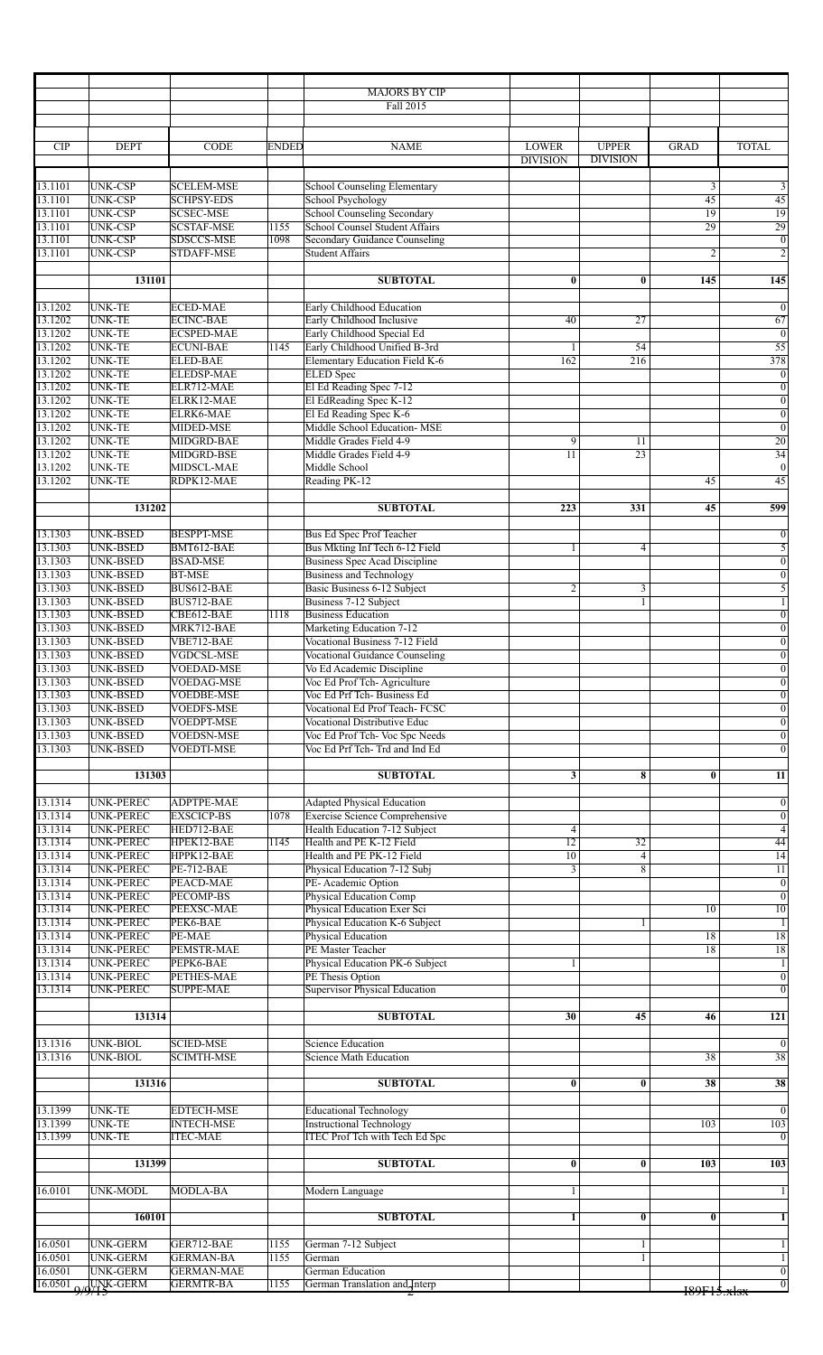|                    |                                      |                                        |              | <b>MAJORS BY CIP</b><br>Fall 2015                                     |                                 |                                 |                |                                    |
|--------------------|--------------------------------------|----------------------------------------|--------------|-----------------------------------------------------------------------|---------------------------------|---------------------------------|----------------|------------------------------------|
|                    |                                      |                                        |              |                                                                       |                                 |                                 |                |                                    |
| CIP                | <b>DEPT</b>                          | <b>CODE</b>                            | <b>ENDED</b> | <b>NAME</b>                                                           | <b>LOWER</b><br><b>DIVISION</b> | <b>UPPER</b><br><b>DIVISION</b> | <b>GRAD</b>    | <b>TOTAL</b>                       |
| 13.1101            | UNK-CSP                              | <b>SCELEM-MSE</b>                      |              | <b>School Counseling Elementary</b>                                   |                                 |                                 | 3              | 3                                  |
| 13.1101            | <b>UNK-CSP</b>                       | <b>SCHPSY-EDS</b>                      |              | School Psychology                                                     |                                 |                                 | 45             | 45                                 |
| 13.1101            | <b>UNK-CSP</b>                       | <b>SCSEC-MSE</b>                       |              | <b>School Counseling Secondary</b>                                    |                                 |                                 | 19             | 19                                 |
| 13.1101            | UNK-CSP                              | <b>SCSTAF-MSE</b>                      | 1155         | School Counsel Student Affairs                                        |                                 |                                 | 29             | 29                                 |
| 13.1101<br>13.1101 | <b>UNK-CSP</b><br><b>UNK-CSP</b>     | SDSCCS-MSE<br><b>STDAFF-MSE</b>        | 1098         | <b>Secondary Guidance Counseling</b><br><b>Student Affairs</b>        |                                 |                                 | $\overline{c}$ | $\overline{0}$<br>$\overline{2}$   |
|                    | 131101                               |                                        |              | <b>SUBTOTAL</b>                                                       | $\bf{0}$                        | $\bf{0}$                        | 145            | 145                                |
| 13.1202            | UNK-TE                               | <b>ECED-MAE</b>                        |              | <b>Early Childhood Education</b>                                      |                                 |                                 |                | $\overline{0}$                     |
| 13.1202            | UNK-TE                               | <b>ECINC-BAE</b>                       |              | Early Childhood Inclusive                                             | 40                              | 27                              |                | 67                                 |
| 13.1202            | UNK-TE                               | <b>ECSPED-MAE</b>                      |              | Early Childhood Special Ed                                            |                                 |                                 |                | $\overline{0}$                     |
| 13.1202            | UNK-TE                               | <b>ECUNI-BAE</b>                       | 1145         | Early Childhood Unified B-3rd                                         |                                 | 54                              |                | $\overline{55}$                    |
| 13.1202<br>13.1202 | UNK-TE<br>UNK-TE                     | <b>ELED-BAE</b><br><b>ELEDSP-MAE</b>   |              | <b>Elementary Education Field K-6</b><br><b>ELED</b> Spec             | 162                             | 216                             |                | 378<br>$\overline{0}$              |
| 13.1202            | <b>UNK-TE</b>                        | ELR712-MAE                             |              | El Ed Reading Spec 7-12                                               |                                 |                                 |                | $\boldsymbol{0}$                   |
| 13.1202            | UNK-TE                               | ELRK12-MAE                             |              | El EdReading Spec K-12                                                |                                 |                                 |                | $\overline{0}$                     |
| 13.1202            | UNK-TE                               | ELRK6-MAE                              |              | El Ed Reading Spec K-6                                                |                                 |                                 |                | $\overline{0}$                     |
| 13.1202<br>13.1202 | <b>UNK-TE</b><br>UNK-TE              | MIDED-MSE<br>MIDGRD-BAE                |              | Middle School Education- MSE<br>Middle Grades Field 4-9               | 9                               | 11                              |                | $\overline{0}$<br>$\overline{20}$  |
| 13.1202            | UNK-TE                               | MIDGRD-BSE                             |              | Middle Grades Field 4-9                                               | 11                              | 23                              |                | 34                                 |
| 13.1202            | <b>UNK-TE</b>                        | MIDSCL-MAE                             |              | Middle School                                                         |                                 |                                 |                | $\overline{0}$                     |
| 13.1202            | <b>UNK-TE</b>                        | RDPK12-MAE                             |              | Reading PK-12                                                         |                                 |                                 | 45             | 45                                 |
|                    | 131202                               |                                        |              | <b>SUBTOTAL</b>                                                       | 223                             | 331                             | 45             | 599                                |
| 13.1303            | UNK-BSED                             | <b>BESPPT-MSE</b>                      |              | <b>Bus Ed Spec Prof Teacher</b>                                       |                                 |                                 |                | $\boldsymbol{0}$                   |
| 13.1303            | UNK-BSED                             | BMT612-BAE                             |              | Bus Mkting Inf Tech 6-12 Field                                        |                                 | 4                               |                | $\overline{5}$                     |
| 13.1303            | UNK-BSED                             | <b>BSAD-MSE</b>                        |              | <b>Business Spec Acad Discipline</b>                                  |                                 |                                 |                | $\overline{0}$                     |
| 13.1303<br>13.1303 | UNK-BSED<br><b>UNK-BSED</b>          | <b>BT-MSE</b><br>BUS612-BAE            |              | <b>Business and Technology</b><br>Basic Business 6-12 Subject         | $\overline{c}$                  | 3                               |                | $\boldsymbol{0}$<br>$\overline{5}$ |
| 13.1303            | UNK-BSED                             | BUS712-BAE                             |              | Business 7-12 Subject                                                 |                                 | $\mathbf{1}$                    |                | $\overline{1}$                     |
| 13.1303            | UNK-BSED                             | CBE612-BAE                             | 1118         | <b>Business Education</b>                                             |                                 |                                 |                | $\overline{0}$                     |
| 13.1303            | <b>UNK-BSED</b>                      | MRK712-BAE                             |              | Marketing Education 7-12                                              |                                 |                                 |                | $\overline{0}$                     |
| 13.1303            | <b>UNK-BSED</b>                      | VBE712-BAE                             |              | Vocational Business 7-12 Field                                        |                                 |                                 |                | $\overline{0}$                     |
| 13.1303<br>13.1303 | UNK-BSED<br><b>UNK-BSED</b>          | VGDCSL-MSE<br><b>VOEDAD-MSE</b>        |              | <b>Vocational Guidance Counseling</b><br>Vo Ed Academic Discipline    |                                 |                                 |                | $\overline{0}$<br>$\overline{0}$   |
| 13.1303            | UNK-BSED                             | <b>VOEDAG-MSE</b>                      |              | Voc Ed Prof Tch-Agriculture                                           |                                 |                                 |                | $\overline{0}$                     |
| 13.1303            | UNK-BSED                             | <b>VOEDBE-MSE</b>                      |              | Voc Ed Prf Tch-Business Ed                                            |                                 |                                 |                | $\boldsymbol{0}$                   |
| 13.1303            | <b>UNK-BSED</b>                      | <b>VOEDFS-MSE</b>                      |              | <b>Vocational Ed Prof Teach- FCSC</b>                                 |                                 |                                 |                | $\overline{0}$                     |
| 13.1303<br>13.1303 | <b>UNK-BSED</b><br>UNK-BSED          | <b>VOEDPT-MSE</b><br><b>VOEDSN-MSE</b> |              | <b>Vocational Distributive Educ</b><br>Voc Ed Prof Tch- Voc Spc Needs |                                 |                                 |                | $\overline{0}$<br>$\overline{0}$   |
| 13.1303            | <b>UNK-BSED</b>                      | VOEDTI-MSE                             |              | Voc Ed Prf Tch-Trd and Ind Ed                                         |                                 |                                 |                | $\overline{0}$                     |
|                    |                                      |                                        |              |                                                                       |                                 |                                 |                |                                    |
|                    | 131303                               |                                        |              | <b>SUBTOTAL</b>                                                       | 3                               | 8                               | $\bf{0}$       | $\overline{11}$                    |
| 13.1314            | <b>UNK-PEREC</b>                     | <b>ADPTPE-MAE</b>                      |              | <b>Adapted Physical Education</b>                                     |                                 |                                 |                | $\overline{0}$                     |
| 13.1314            | UNK-PEREC                            | <b>EXSCICP-BS</b>                      | 1078         | <b>Exercise Science Comprehensive</b>                                 |                                 |                                 |                | $\boldsymbol{0}$                   |
| 13.1314<br>13.1314 | <b>UNK-PEREC</b><br><b>UNK-PEREC</b> | HED712-BAE<br>HPEK12-BAE               | 1145         | Health Education 7-12 Subject<br>Health and PE K-12 Field             | 4<br>$\overline{12}$            | 32                              |                | $\overline{4}$<br>44               |
| 13.1314            | <b>UNK-PEREC</b>                     | HPPK12-BAE                             |              | Health and PE PK-12 Field                                             | $\overline{10}$                 | $\overline{4}$                  |                | $\overline{14}$                    |
| 13.1314            | <b>UNK-PEREC</b>                     | <b>PE-712-BAE</b>                      |              | Physical Education 7-12 Subj                                          | $\overline{3}$                  | $\overline{8}$                  |                | $\overline{11}$                    |
| 13.1314            | <b>UNK-PEREC</b>                     | PEACD-MAE                              |              | PE-Academic Option                                                    |                                 |                                 |                | $\overline{0}$                     |
| 13.1314<br>13.1314 | <b>UNK-PEREC</b><br><b>UNK-PEREC</b> | <b>PECOMP-BS</b><br>PEEXSC-MAE         |              | Physical Education Comp<br>Physical Education Exer Sci                |                                 |                                 | 10             | $\overline{0}$<br>10               |
| 13.1314            | <b>UNK-PEREC</b>                     | PEK6-BAE                               |              | Physical Education K-6 Subject                                        |                                 |                                 |                | $\overline{1}$                     |
| 13.1314            | UNK-PEREC                            | PE-MAE                                 |              | Physical Education                                                    |                                 |                                 | 18             | 18                                 |
| 13.1314            | <b>UNK-PEREC</b>                     | PEMSTR-MAE                             |              | PE Master Teacher                                                     |                                 |                                 | 18             | $\overline{18}$                    |
| 13.1314<br>13.1314 | UNK-PEREC<br><b>UNK-PEREC</b>        | PEPK6-BAE<br><b>PETHES-MAE</b>         |              | Physical Education PK-6 Subject<br>PE Thesis Option                   |                                 |                                 |                | $\mathbf{1}$<br>$\overline{0}$     |
| 13.1314            | <b>UNK-PEREC</b>                     | <b>SUPPE-MAE</b>                       |              | <b>Supervisor Physical Education</b>                                  |                                 |                                 |                | $\overline{0}$                     |
|                    | 131314                               |                                        |              | <b>SUBTOTAL</b>                                                       | 30                              | $\overline{45}$                 | 46             | 121                                |
|                    |                                      |                                        |              |                                                                       |                                 |                                 |                |                                    |
| 13.1316<br>13.1316 | UNK-BIOL<br><b>UNK-BIOL</b>          | <b>SCIED-MSE</b><br><b>SCIMTH-MSE</b>  |              | <b>Science Education</b><br>Science Math Education                    |                                 |                                 | 38             | $\overline{0}$<br>38               |
|                    |                                      |                                        |              |                                                                       |                                 |                                 |                |                                    |
|                    | 131316                               |                                        |              | <b>SUBTOTAL</b>                                                       | $\bf{0}$                        | $\bf{0}$                        | 38             | 38                                 |
| 13.1399            | UNK-TE                               | <b>EDTECH-MSE</b>                      |              | <b>Educational Technology</b>                                         |                                 |                                 |                | $\overline{0}$                     |
| 13.1399            | UNK-TE                               | <b>INTECH-MSE</b>                      |              | <b>Instructional Technology</b>                                       |                                 |                                 | 103            | 103                                |
| 13.1399            | <b>UNK-TE</b>                        | <b>ITEC-MAE</b>                        |              | <b>ITEC Prof Tch with Tech Ed Spc</b>                                 |                                 |                                 |                | $\overline{0}$                     |
|                    | 131399                               |                                        |              | <b>SUBTOTAL</b>                                                       | $\overline{\mathbf{0}}$         | $\bf{0}$                        | 103            | 103                                |
| 16.0101            | <b>UNK-MODL</b>                      | <b>MODLA-BA</b>                        |              | Modern Language                                                       | 1                               |                                 |                | $\mathbf{1}$                       |
|                    | 160101                               |                                        |              | <b>SUBTOTAL</b>                                                       | $\mathbf{1}$                    | $\bf{0}$                        | $\bf{0}$       | $\overline{1}$                     |
| 16.0501            | <b>UNK-GERM</b>                      | GER712-BAE                             | 1155         | German 7-12 Subject                                                   |                                 | 1                               |                | $\mathbf{1}$                       |
| 16.0501            | <b>UNK-GERM</b>                      | <b>GERMAN-BA</b>                       | 1155         | German                                                                |                                 | 1                               |                | $\mathbf{1}$                       |
| 16.0501            | UNK-GERM                             | <b>GERMAN-MAE</b>                      |              | <b>German Education</b>                                               |                                 |                                 |                | $\mathbf{0}$                       |
|                    | $16.0501$ $Q/QY$ <sup>K</sup> -GERM  | <b>GERMTR-BA</b>                       | 1155         | German Translation and Interp                                         |                                 |                                 | 189F15.x1sx    | $\overline{0}$                     |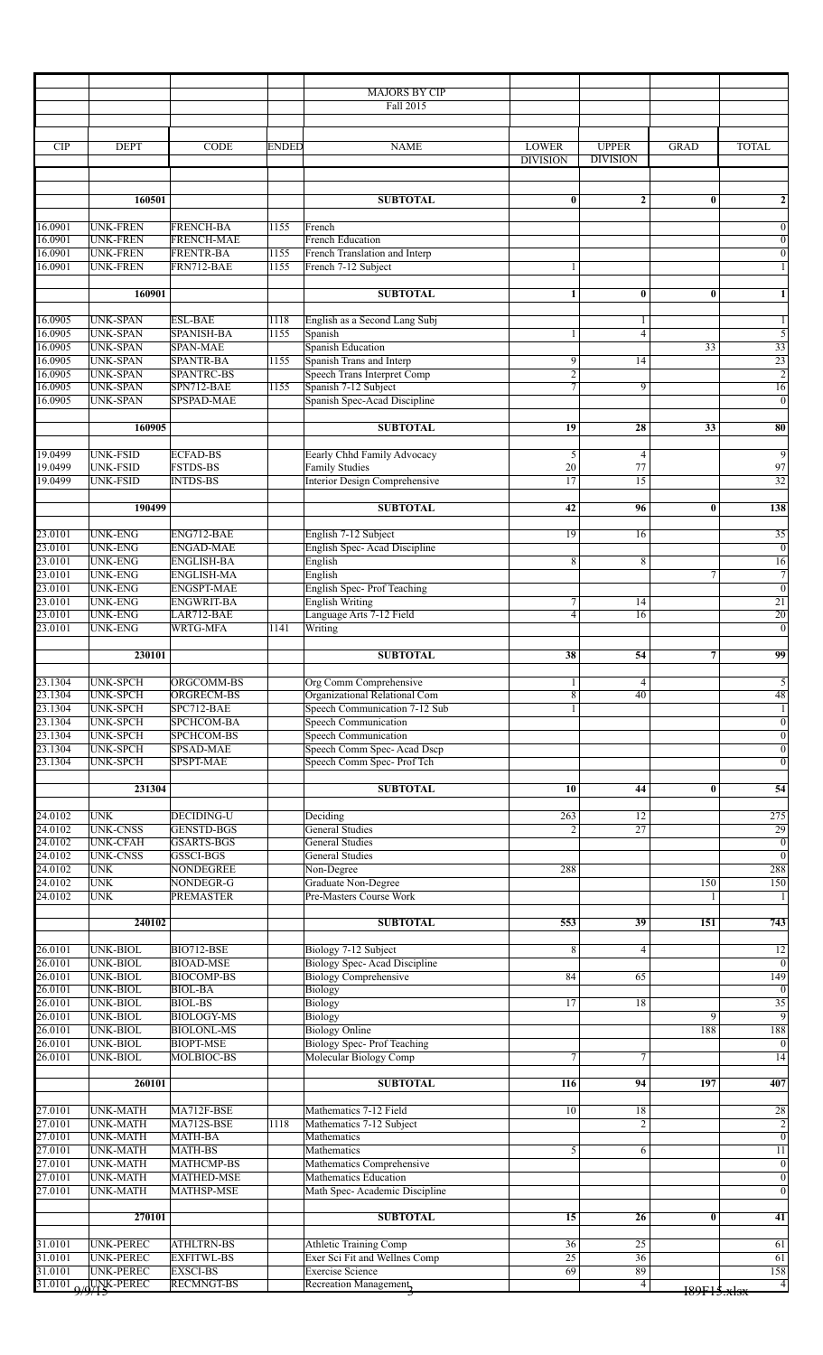|                    |                                      |                                        |              | <b>MAJORS BY CIP</b>                                                |                       |                       |                 |                                    |
|--------------------|--------------------------------------|----------------------------------------|--------------|---------------------------------------------------------------------|-----------------------|-----------------------|-----------------|------------------------------------|
|                    |                                      |                                        |              | Fall 2015                                                           |                       |                       |                 |                                    |
| CIP                | <b>DEPT</b>                          | <b>CODE</b>                            | <b>ENDED</b> | <b>NAME</b>                                                         | <b>LOWER</b>          | <b>UPPER</b>          | <b>GRAD</b>     | <b>TOTAL</b>                       |
|                    |                                      |                                        |              |                                                                     | <b>DIVISION</b>       | <b>DIVISION</b>       |                 |                                    |
|                    | 160501                               |                                        |              | <b>SUBTOTAL</b>                                                     | $\bf{0}$              | $\boldsymbol{2}$      | $\bf{0}$        | $\boldsymbol{2}$                   |
|                    |                                      |                                        |              |                                                                     |                       |                       |                 |                                    |
| 16.0901<br>16.0901 | <b>UNK-FREN</b><br><b>UNK-FREN</b>   | <b>FRENCH-BA</b><br><b>FRENCH-MAE</b>  | 1155         | French<br><b>French Education</b>                                   |                       |                       |                 | $\overline{0}$<br>$\boldsymbol{0}$ |
| 16.0901<br>16.0901 | <b>UNK-FREN</b><br><b>UNK-FREN</b>   | <b>FRENTR-BA</b><br>FRN712-BAE         | 1155<br>1155 | French Translation and Interp<br>French 7-12 Subject                | 1                     |                       |                 | $\overline{0}$<br>$\mathbf{1}$     |
|                    | 160901                               |                                        |              | <b>SUBTOTAL</b>                                                     | 1                     | $\bf{0}$              | $\mathbf{0}$    | $\mathbf{1}$                       |
|                    |                                      |                                        |              |                                                                     |                       |                       |                 |                                    |
| 16.0905<br>16.0905 | <b>UNK-SPAN</b><br><b>UNK-SPAN</b>   | <b>ESL-BAE</b><br><b>SPANISH-BA</b>    | 1118<br>1155 | English as a Second Lang Subj<br>Spanish                            | 1                     | 1<br>$\overline{4}$   |                 | $\mathbf{1}$<br>5                  |
| 16.0905            | <b>UNK-SPAN</b>                      | <b>SPAN-MAE</b>                        |              | Spanish Education                                                   |                       |                       | $\overline{33}$ | $\overline{33}$                    |
| 16.0905<br>16.0905 | <b>UNK-SPAN</b><br><b>UNK-SPAN</b>   | <b>SPANTR-BA</b><br><b>SPANTRC-BS</b>  | 1155         | Spanish Trans and Interp<br><b>Speech Trans Interpret Comp</b>      | 9<br>$\overline{2}$   | 14                    |                 | 23<br>$\overline{2}$               |
| 16.0905            | <b>UNK-SPAN</b>                      | SPN712-BAE                             | 1155         | Spanish 7-12 Subject                                                | 7                     | 9                     |                 | 16                                 |
| 16.0905            | <b>UNK-SPAN</b>                      | SPSPAD-MAE                             |              | Spanish Spec-Acad Discipline                                        |                       |                       |                 | $\overline{0}$                     |
|                    | 160905                               |                                        |              | <b>SUBTOTAL</b>                                                     | 19                    | 28                    | 33              | 80                                 |
| 19.0499            | UNK-FSID                             | <b>ECFAD-BS</b>                        |              | Eearly Chhd Family Advocacy                                         | 5                     | $\overline{4}$        |                 | $\overline{9}$                     |
| 19.0499            | <b>UNK-FSID</b>                      | <b>FSTDS-BS</b>                        |              | <b>Family Studies</b>                                               | 20                    | 77                    |                 | 97                                 |
| 19.0499            | <b>UNK-FSID</b>                      | <b>INTDS-BS</b>                        |              | Interior Design Comprehensive                                       | 17                    | 15                    |                 | 32                                 |
|                    | 190499                               |                                        |              | <b>SUBTOTAL</b>                                                     | 42                    | 96                    | $\bf{0}$        | 138                                |
| 23.0101            | <b>UNK-ENG</b>                       | ENG712-BAE                             |              | English 7-12 Subject                                                | 19                    | 16                    |                 | 35                                 |
| 23.0101            | <b>UNK-ENG</b>                       | <b>ENGAD-MAE</b>                       |              | English Spec-Acad Discipline                                        |                       |                       |                 | $\overline{0}$                     |
| 23.0101            | <b>UNK-ENG</b>                       | <b>ENGLISH-BA</b>                      |              | English                                                             | 8                     | 8                     |                 | 16                                 |
| 23.0101<br>23.0101 | <b>UNK-ENG</b><br><b>UNK-ENG</b>     | <b>ENGLISH-MA</b><br><b>ENGSPT-MAE</b> |              | English<br><b>English Spec-Prof Teaching</b>                        |                       |                       | $\tau$          | $\overline{7}$<br>$\overline{0}$   |
| 23.0101            | <b>UNK-ENG</b>                       | <b>ENGWRIT-BA</b>                      |              | <b>English Writing</b>                                              | 7                     | 14                    |                 | 21                                 |
| 23.0101            | <b>UNK-ENG</b>                       | LAR712-BAE                             |              | Language Arts 7-12 Field                                            | $\overline{4}$        | 16                    |                 | 20                                 |
| 23.0101            | <b>UNK-ENG</b>                       | <b>WRTG-MFA</b>                        | 1141         | Writing                                                             |                       |                       |                 | $\overline{0}$                     |
|                    | 230101                               |                                        |              | <b>SUBTOTAL</b>                                                     | 38                    | 54                    | 7               | 99                                 |
| 23.1304            | <b>UNK-SPCH</b>                      | ORGCOMM-BS                             |              | <b>Org Comm Comprehensive</b>                                       |                       | 4                     |                 | $\overline{5}$                     |
| 23.1304            | <b>UNK-SPCH</b>                      | ORGRECM-BS                             |              | Organizational Relational Com                                       | 8                     | 40                    |                 | 48                                 |
| 23.1304            | <b>UNK-SPCH</b>                      | SPC712-BAE                             |              | Speech Communication 7-12 Sub                                       |                       |                       |                 | 1 <sup>1</sup>                     |
| 23.1304<br>23.1304 | <b>UNK-SPCH</b><br><b>UNK-SPCH</b>   | SPCHCOM-BA<br>SPCHCOM-BS               |              | <b>Speech Communication</b><br><b>Speech Communication</b>          |                       |                       |                 | $\boldsymbol{0}$<br>$\overline{0}$ |
| 23.1304            | <b>UNK-SPCH</b>                      | <b>SPSAD-MAE</b>                       |              | Speech Comm Spec-Acad Dscp                                          |                       |                       |                 | $\overline{0}$                     |
| 23.1304            | <b>UNK-SPCH</b>                      | SPSPT-MAE                              |              | Speech Comm Spec- Prof Tch                                          |                       |                       |                 | $\overline{0}$                     |
|                    | 231304                               |                                        |              | <b>SUBTOTAL</b>                                                     | 10                    | 44                    | $\bf{0}$        | 54                                 |
|                    |                                      |                                        |              |                                                                     |                       |                       |                 |                                    |
| 24.0102<br>24.0102 | <b>UNK</b><br><b>UNK-CNSS</b>        | <b>DECIDING-U</b><br><b>GENSTD-BGS</b> |              | Deciding<br><b>General Studies</b>                                  | 263<br>$\overline{2}$ | 12<br>$\overline{27}$ |                 | 275<br>29                          |
| 24.0102            | <b>UNK-CFAH</b>                      | <b>GSARTS-BGS</b>                      |              | <b>General Studies</b>                                              |                       |                       |                 | $\boldsymbol{0}$                   |
| 24.0102            | <b>UNK-CNSS</b>                      | GSSCI-BGS                              |              | <b>General Studies</b>                                              |                       |                       |                 | $\overline{0}$                     |
| 24.0102<br>24.0102 | <b>UNK</b><br><b>UNK</b>             | <b>NONDEGREE</b><br>NONDEGR-G          |              | Non-Degree<br>Graduate Non-Degree                                   | 288                   |                       | 150             | 288<br>150                         |
| 24.0102            | <b>UNK</b>                           | <b>PREMASTER</b>                       |              | Pre-Masters Course Work                                             |                       |                       |                 |                                    |
|                    | 240102                               |                                        |              | <b>SUBTOTAL</b>                                                     | 553                   | $\overline{39}$       | 151             | 743                                |
|                    |                                      |                                        |              |                                                                     |                       |                       |                 |                                    |
| 26.0101            | <b>UNK-BIOL</b>                      | BIO712-BSE                             |              | Biology 7-12 Subject                                                | 8                     | $\overline{4}$        |                 | $\overline{12}$                    |
| 26.0101<br>26.0101 | <b>UNK-BIOL</b><br><b>UNK-BIOL</b>   | <b>BIOAD-MSE</b><br><b>BIOCOMP-BS</b>  |              | <b>Biology Spec-Acad Discipline</b><br><b>Biology Comprehensive</b> | 84                    | 65                    |                 | $\overline{0}$<br>149              |
| 26.0101            | <b>UNK-BIOL</b>                      | <b>BIOL-BA</b>                         |              | Biology                                                             |                       |                       |                 | $\overline{0}$                     |
| 26.0101            | <b>UNK-BIOL</b>                      | <b>BIOL-BS</b>                         |              | Biology                                                             | 17                    | 18                    |                 | $\overline{35}$                    |
| 26.0101<br>26.0101 | <b>UNK-BIOL</b><br><b>UNK-BIOL</b>   | <b>BIOLOGY-MS</b><br><b>BIOLONL-MS</b> |              | Biology<br><b>Biology Online</b>                                    |                       |                       | 9<br>188        | $\overline{9}$<br>188              |
| 26.0101            | <b>UNK-BIOL</b>                      | <b>BIOPT-MSE</b>                       |              | <b>Biology Spec-Prof Teaching</b>                                   |                       |                       |                 | $\overline{0}$                     |
| 26.0101            | <b>UNK-BIOL</b>                      | <b>MOLBIOC-BS</b>                      |              | Molecular Biology Comp                                              | 7                     | 7                     |                 | 14                                 |
|                    | 260101                               |                                        |              | <b>SUBTOTAL</b>                                                     | 116                   | 94                    | 197             | 407                                |
|                    |                                      |                                        |              |                                                                     |                       |                       |                 |                                    |
| 27.0101<br>27.0101 | <b>UNK-MATH</b><br><b>UNK-MATH</b>   | MA712F-BSE<br>MA712S-BSE               | 1118         | Mathematics 7-12 Field<br>Mathematics 7-12 Subject                  | 10                    | 18<br>$\overline{2}$  |                 | $\overline{28}$                    |
| 27.0101            | <b>UNK-MATH</b>                      | MATH-BA                                |              | Mathematics                                                         |                       |                       |                 | $\frac{2}{0}$                      |
| 27.0101            | <b>UNK-MATH</b>                      | MATH-BS                                |              | Mathematics                                                         | 5                     | 6                     |                 | 11                                 |
| 27.0101<br>27.0101 | <b>UNK-MATH</b><br><b>UNK-MATH</b>   | <b>MATHCMP-BS</b><br>MATHED-MSE        |              | Mathematics Comprehensive<br><b>Mathematics Education</b>           |                       |                       |                 | $\overline{0}$<br>$\overline{0}$   |
| 27.0101            | <b>UNK-MATH</b>                      | <b>MATHSP-MSE</b>                      |              | Math Spec-Academic Discipline                                       |                       |                       |                 | $\overline{0}$                     |
|                    | 270101                               |                                        |              | <b>SUBTOTAL</b>                                                     | $\overline{15}$       | 26                    | $\bf{0}$        | $\overline{41}$                    |
|                    |                                      |                                        |              |                                                                     |                       |                       |                 |                                    |
| 31.0101<br>31.0101 | <b>UNK-PEREC</b><br><b>UNK-PEREC</b> | <b>ATHLTRN-BS</b><br><b>EXFITWL-BS</b> |              | Athletic Training Comp<br>Exer Sci Fit and Wellnes Comp             | $\overline{36}$<br>25 | 25<br>$\overline{36}$ |                 | 61<br>$\overline{61}$              |
| 31.0101            | <b>UNK-PEREC</b>                     | <b>EXSCI-BS</b>                        |              | <b>Exercise Science</b>                                             | 69                    | 89                    |                 | 158                                |
|                    | 31.0101 Q/QUNK-PEREC                 | <b>RECMNGT-BS</b>                      |              | Recreation Management,                                              |                       | 4                     | 189F15.xlsx     | $\overline{4}$                     |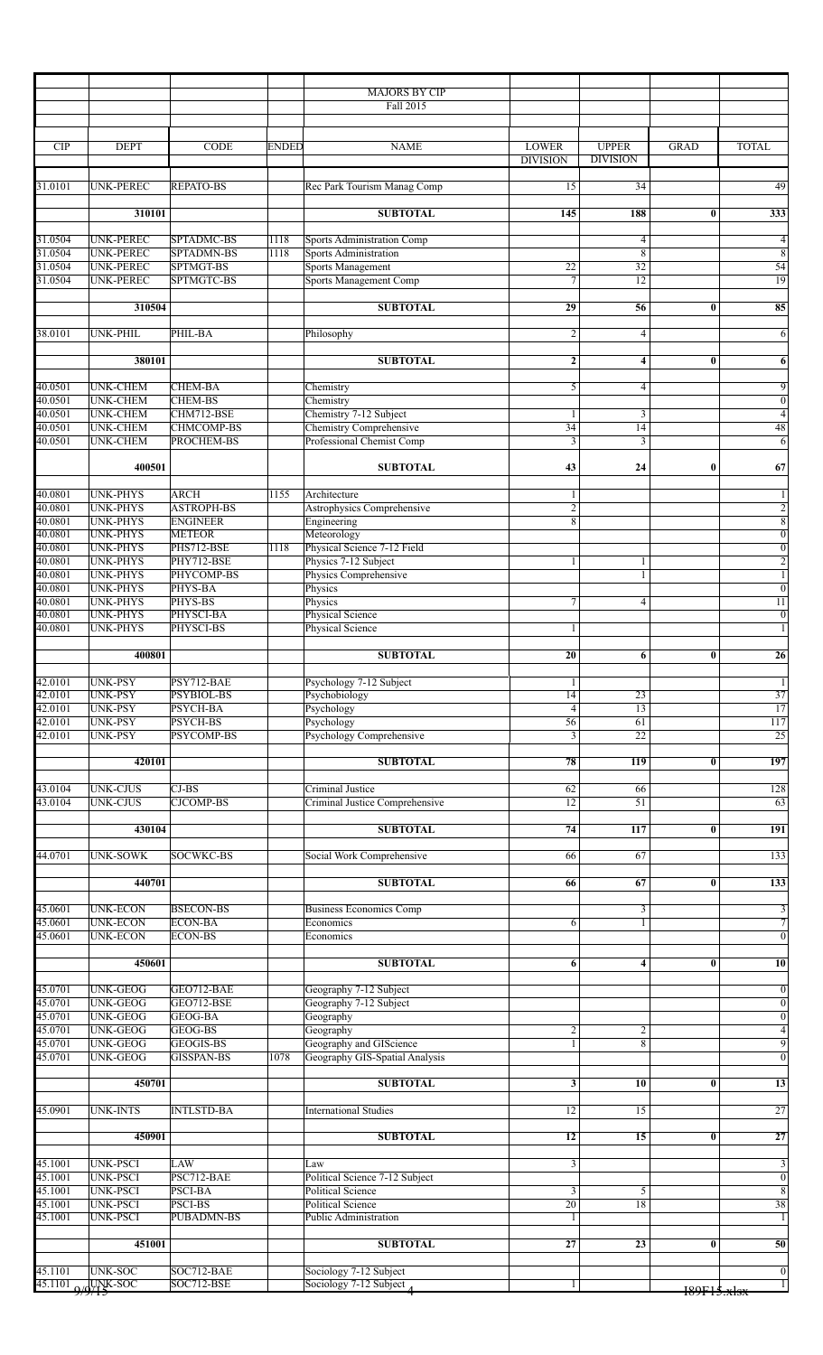|                    |                               |                                       |              | <b>MAJORS BY CIP</b><br>Fall 2015                          |                                 |                                 |                         |                                  |
|--------------------|-------------------------------|---------------------------------------|--------------|------------------------------------------------------------|---------------------------------|---------------------------------|-------------------------|----------------------------------|
|                    |                               |                                       |              |                                                            |                                 |                                 |                         |                                  |
| <b>CIP</b>         | <b>DEPT</b>                   | <b>CODE</b>                           | <b>ENDED</b> | <b>NAME</b>                                                | <b>LOWER</b><br><b>DIVISION</b> | <b>UPPER</b><br><b>DIVISION</b> | <b>GRAD</b>             | <b>TOTAL</b>                     |
| 31.0101            | <b>UNK-PEREC</b>              | <b>REPATO-BS</b>                      |              | Rec Park Tourism Manag Comp                                | 15                              | 34                              |                         | 49                               |
|                    |                               |                                       |              |                                                            |                                 |                                 |                         |                                  |
|                    | 310101                        |                                       |              | <b>SUBTOTAL</b>                                            | 145                             | 188                             | $\mathbf{0}$            | 333                              |
| 31.0504            | UNK-PEREC                     | SPTADMC-BS                            | 1118         | <b>Sports Administration Comp</b>                          |                                 | $\overline{4}$                  |                         | $\overline{4}$                   |
| 31.0504<br>31.0504 | UNK-PEREC<br><b>UNK-PEREC</b> | <b>SPTADMN-BS</b><br>SPTMGT-BS        | 1118         | Sports Administration<br><b>Sports Management</b>          | 22                              | $\overline{8}$<br>32            |                         | $\overline{8}$<br>54             |
| 31.0504            | <b>UNK-PEREC</b>              | SPTMGTC-BS                            |              | Sports Management Comp                                     | $\tau$                          | $\overline{12}$                 |                         | 19                               |
|                    | 310504                        |                                       |              | <b>SUBTOTAL</b>                                            | 29                              | 56                              | $\bf{0}$                | 85                               |
| 38.0101            | UNK-PHIL                      | PHIL-BA                               |              | Philosophy                                                 | $\overline{c}$                  | $\overline{4}$                  |                         | 6                                |
|                    |                               |                                       |              |                                                            |                                 |                                 |                         |                                  |
|                    | 380101                        |                                       |              | <b>SUBTOTAL</b>                                            | $\mathbf{2}$                    | $\overline{4}$                  | $\mathbf{0}$            | 6                                |
| 40.0501            | UNK-CHEM                      | <b>CHEM-BA</b>                        |              | Chemistry                                                  | 5                               | $\overline{4}$                  |                         | 9                                |
| 40.0501<br>40.0501 | UNK-CHEM<br>UNK-CHEM          | <b>CHEM-BS</b><br>CHM712-BSE          |              | Chemistry<br>Chemistry 7-12 Subject                        |                                 | 3                               |                         | $\overline{0}$<br>$\overline{4}$ |
| 40.0501            | <b>UNK-CHEM</b>               | <b>CHMCOMP-BS</b>                     |              | <b>Chemistry Comprehensive</b>                             | 34                              | 14                              |                         | 48                               |
| 40.0501            | <b>UNK-CHEM</b>               | <b>PROCHEM-BS</b>                     |              | Professional Chemist Comp                                  | $\overline{3}$                  | $\overline{3}$                  |                         | 6                                |
|                    | 400501                        |                                       |              | <b>SUBTOTAL</b>                                            | 43                              | 24                              | $\mathbf{0}$            | 67                               |
|                    |                               |                                       |              |                                                            |                                 |                                 |                         |                                  |
| 40.0801<br>40.0801 | UNK-PHYS<br><b>UNK-PHYS</b>   | <b>ARCH</b><br><b>ASTROPH-BS</b>      | 1155         | Architecture<br><b>Astrophysics Comprehensive</b>          | $\overline{c}$                  |                                 |                         | $\mathbf{1}$<br>$\overline{2}$   |
| 40.0801            | UNK-PHYS                      | <b>ENGINEER</b>                       |              | Engineering                                                | $\overline{8}$                  |                                 |                         | $\overline{8}$                   |
| 40.0801            | UNK-PHYS                      | <b>METEOR</b>                         |              | Meteorology                                                |                                 |                                 |                         | $\overline{0}$                   |
| 40.0801<br>40.0801 | <b>UNK-PHYS</b><br>UNK-PHYS   | PHS712-BSE<br>PHY712-BSE              | 1118         | Physical Science 7-12 Field<br>Physics 7-12 Subject        |                                 | 1                               |                         | $\overline{0}$<br>$\overline{2}$ |
| 40.0801            | UNK-PHYS                      | PHYCOMP-BS                            |              | Physics Comprehensive                                      |                                 | $\mathbf{1}$                    |                         | $\mathbf{1}$                     |
| 40.0801            | <b>UNK-PHYS</b>               | PHYS-BA                               |              | Physics                                                    |                                 |                                 |                         | $\overline{0}$                   |
| 40.0801<br>40.0801 | UNK-PHYS<br><b>UNK-PHYS</b>   | PHYS-BS<br>PHYSCI-BA                  |              | Physics<br>Physical Science                                | $\overline{7}$                  | $\overline{4}$                  |                         | 11<br>$\overline{0}$             |
| 40.0801            | <b>UNK-PHYS</b>               | PHYSCI-BS                             |              | Physical Science                                           |                                 |                                 |                         | $\mathbf{1}$                     |
|                    | 400801                        |                                       |              | <b>SUBTOTAL</b>                                            | 20                              |                                 | $\overline{\mathbf{0}}$ | $\overline{26}$                  |
|                    |                               |                                       |              |                                                            |                                 | 6                               |                         |                                  |
| 42.0101            | UNK-PSY                       | PSY712-BAE                            |              | Psychology 7-12 Subject                                    |                                 |                                 |                         | $\mathbf{1}$                     |
| 42.0101<br>42.0101 | UNK-PSY<br>UNK-PSY            | PSYBIOL-BS<br>PSYCH-BA                |              | Psychobiology<br>Psychology                                | 14<br>$\overline{4}$            | 23<br>$\overline{13}$           |                         | 37<br>$\overline{17}$            |
| 42.0101            | UNK-PSY                       | <b>PSYCH-BS</b>                       |              | Psychology                                                 | 56                              | 61                              |                         | 117                              |
| 42.0101            | <b>UNK-PSY</b>                | PSYCOMP-BS                            |              | Psychology Comprehensive                                   | 3                               | $\overline{22}$                 |                         | $\overline{25}$                  |
|                    | 420101                        |                                       |              | <b>SUBTOTAL</b>                                            | 78                              | 119                             | $\mathbf{0}$            | 197                              |
|                    |                               |                                       |              |                                                            |                                 |                                 |                         |                                  |
| 43.0104<br>43.0104 | UNK-CJUS<br><b>UNK-CJUS</b>   | CJ-BS<br><b>CJCOMP-BS</b>             |              | Criminal Justice<br>Criminal Justice Comprehensive         | 62<br>$\overline{12}$           | 66<br>$\overline{51}$           |                         | 128<br>$\overline{63}$           |
|                    |                               |                                       |              |                                                            |                                 |                                 |                         |                                  |
|                    | 430104                        |                                       |              | <b>SUBTOTAL</b>                                            | 74                              | $\overline{117}$                | $\bf{0}$                | 191                              |
| 44.0701            | <b>UNK-SOWK</b>               | SOCWKC-BS                             |              | Social Work Comprehensive                                  | 66                              | 67                              |                         | 133                              |
|                    | 440701                        |                                       |              | <b>SUBTOTAL</b>                                            | 66                              | 67                              | $\bf{0}$                | 133                              |
| 45.0601            | UNK-ECON                      | <b>BSECON-BS</b>                      |              | <b>Business Economics Comp</b>                             |                                 | $\mathfrak{Z}$                  |                         |                                  |
| 45.0601            | UNK-ECON                      | ECON-BA                               |              | Economics                                                  | 6                               | 1                               |                         | $rac{3}{7}$                      |
| 45.0601            | <b>UNK-ECON</b>               | <b>ECON-BS</b>                        |              | Economics                                                  |                                 |                                 |                         | $\overline{0}$                   |
|                    | 450601                        |                                       |              | <b>SUBTOTAL</b>                                            | 6                               | 4                               | $\bf{0}$                | $\overline{10}$                  |
| 45.0701<br>45.0701 | <b>UNK-GEOG</b><br>UNK-GEOG   | GEO712-BAE<br>GEO712-BSE              |              | Geography 7-12 Subject<br>Geography 7-12 Subject           |                                 |                                 |                         | $\overline{0}$<br>$\overline{0}$ |
| 45.0701            | <b>UNK-GEOG</b>               | GEOG-BA                               |              | Geography                                                  |                                 |                                 |                         | $\overline{0}$                   |
| 45.0701            | UNK-GEOG                      | GEOG-BS                               |              | Geography                                                  | $\overline{c}$                  | $\sqrt{2}$                      |                         | $\overline{\mathbf{4}}$          |
| 45.0701<br>45.0701 | UNK-GEOG<br><b>UNK-GEOG</b>   | <b>GEOGIS-BS</b><br><b>GISSPAN-BS</b> | 1078         | Geography and GIScience<br>Geography GIS-Spatial Analysis  | 1                               | $\overline{8}$                  |                         | $\overline{9}$<br>$\overline{0}$ |
|                    |                               |                                       |              |                                                            |                                 |                                 |                         |                                  |
|                    | 450701                        |                                       |              | <b>SUBTOTAL</b>                                            | $\overline{\mathbf{3}}$         | $\overline{10}$                 | $\bf{0}$                | 13                               |
| 45.0901            | UNK-INTS                      | <b>INTLSTD-BA</b>                     |              | <b>International Studies</b>                               | 12                              | 15                              |                         | $\overline{27}$                  |
|                    | 450901                        |                                       |              | <b>SUBTOTAL</b>                                            | 12                              | 15                              | $\bf{0}$                | $\overline{27}$                  |
| 45.1001            | UNK-PSCI                      | LAW                                   |              | Law                                                        | $\overline{3}$                  |                                 |                         | $\overline{3}$                   |
| 45.1001<br>45.1001 | <b>UNK-PSCI</b><br>UNK-PSCI   | PSC712-BAE<br>PSCI-BA                 |              | Political Science 7-12 Subject<br><b>Political Science</b> | 3                               | 5                               |                         | $\overline{0}$<br>$\overline{8}$ |
| 45.1001            | UNK-PSCI                      | PSCI-BS                               |              | <b>Political Science</b>                                   | $\overline{20}$                 | 18                              |                         | 38                               |
| 45.1001            | <b>UNK-PSCI</b>               | <b>PUBADMN-BS</b>                     |              | <b>Public Administration</b>                               |                                 |                                 |                         | $\mathbf{1}$                     |
|                    | 451001                        |                                       |              | <b>SUBTOTAL</b>                                            | 27                              | $\overline{23}$                 | $\overline{\mathbf{0}}$ | 50                               |
| 45.1101            | UNK-SOC                       | SOC712-BAE                            |              | Sociology 7-12 Subject                                     |                                 |                                 |                         | $\boldsymbol{0}$                 |
| 45.1101 9/9/15 SOC |                               | SOC712-BSE                            |              | Sociology 7-12 Subject                                     | 1                               |                                 | 189F15.xlsx             | $\frac{1}{2}$                    |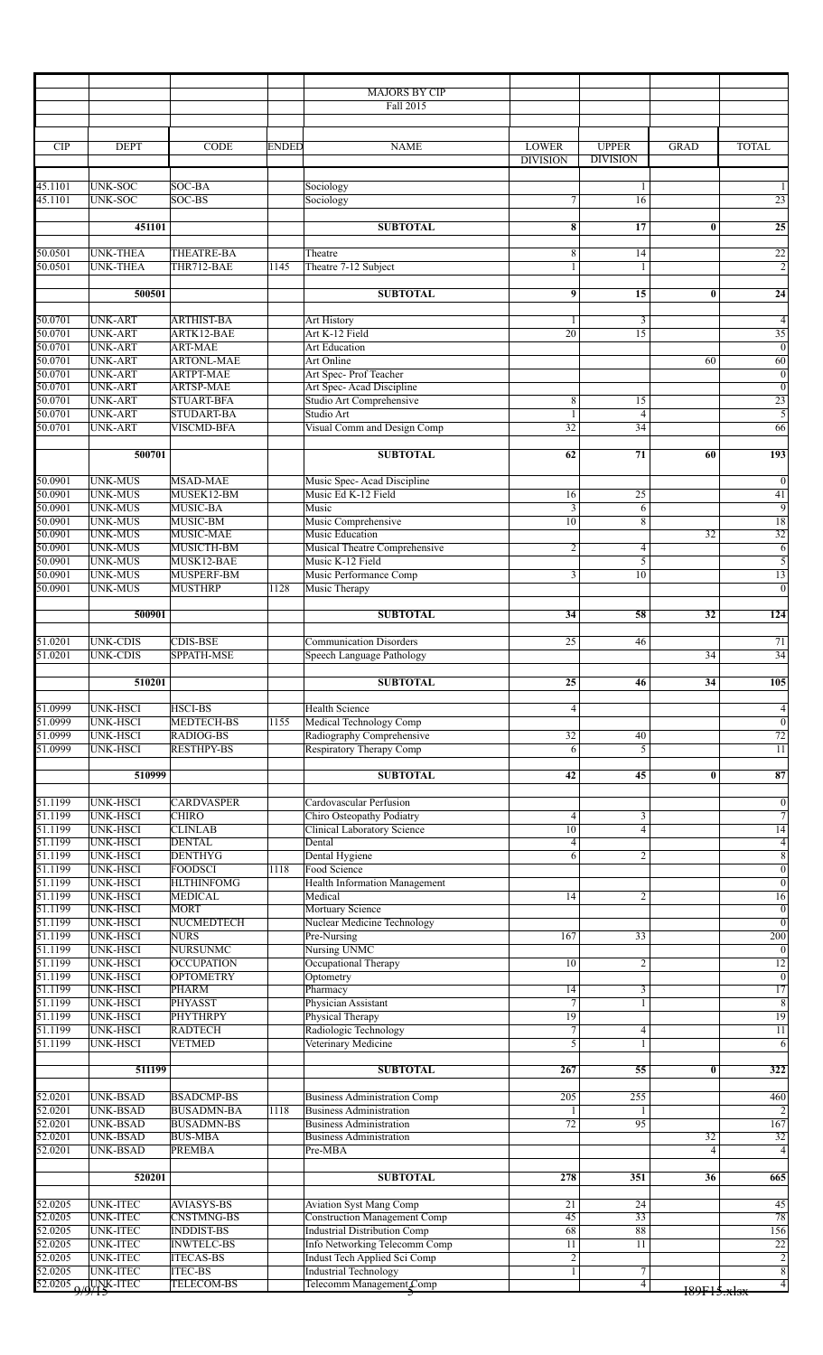|                         |                                    |                                        |              | <b>MAJORS BY CIP</b>                                                  |                                   |                      |                 |                                    |
|-------------------------|------------------------------------|----------------------------------------|--------------|-----------------------------------------------------------------------|-----------------------------------|----------------------|-----------------|------------------------------------|
|                         |                                    |                                        |              | Fall 2015                                                             |                                   |                      |                 |                                    |
|                         |                                    |                                        |              |                                                                       |                                   |                      |                 |                                    |
| <b>CIP</b>              | <b>DEPT</b>                        | <b>CODE</b>                            | <b>ENDED</b> | <b>NAME</b>                                                           | <b>LOWER</b>                      | <b>UPPER</b>         | <b>GRAD</b>     | TOTAL                              |
|                         |                                    |                                        |              |                                                                       | <b>DIVISION</b>                   | <b>DIVISION</b>      |                 |                                    |
| 45.1101                 | UNK-SOC                            | SOC-BA                                 |              | Sociology                                                             |                                   | 1                    |                 |                                    |
| 45.1101                 | <b>UNK-SOC</b>                     | $SOC-BS$                               |              | Sociology                                                             | 7                                 | 16                   |                 | $\overline{23}$                    |
|                         | 451101                             |                                        |              | <b>SUBTOTAL</b>                                                       | 8                                 | 17                   | $\bf{0}$        | $\overline{25}$                    |
|                         |                                    |                                        |              |                                                                       |                                   |                      |                 |                                    |
| 50.0501<br>50.0501      | <b>UNK-THEA</b><br><b>UNK-THEA</b> | <b>THEATRE-BA</b><br>THR712-BAE        | 1145         | Theatre<br>Theatre 7-12 Subject                                       | 8<br>1                            | 14<br>1              |                 | $\overline{22}$<br>$\overline{2}$  |
|                         |                                    |                                        |              |                                                                       |                                   |                      |                 |                                    |
|                         | 500501                             |                                        |              | <b>SUBTOTAL</b>                                                       | 9                                 | 15                   | $\mathbf{0}$    | $\overline{24}$                    |
| 50.0701                 | <b>UNK-ART</b>                     | <b>ARTHIST-BA</b>                      |              | Art History                                                           |                                   | 3                    |                 | $\overline{4}$                     |
| 50.0701                 | UNK-ART<br><b>UNK-ART</b>          | ARTK12-BAE                             |              | Art K-12 Field                                                        | 20                                | $\overline{15}$      |                 | $\overline{35}$                    |
| 50.0701<br>50.0701      | UNK-ART                            | <b>ART-MAE</b><br><b>ARTONL-MAE</b>    |              | <b>Art Education</b><br>Art Online                                    |                                   |                      | 60              | $\overline{0}$<br>60               |
| 50.0701                 | UNK-ART                            | <b>ARTPT-MAE</b>                       |              | Art Spec-Prof Teacher                                                 |                                   |                      |                 | $\overline{0}$                     |
| 50.0701<br>50.0701      | UNK-ART<br>UNK-ART                 | <b>ARTSP-MAE</b><br><b>STUART-BFA</b>  |              | Art Spec-Acad Discipline<br>Studio Art Comprehensive                  |                                   | 15                   |                 | $\overline{0}$<br>$\overline{23}$  |
| 50.0701                 | <b>UNK-ART</b>                     | <b>STUDART-BA</b>                      |              | Studio Art                                                            | 8                                 | $\overline{4}$       |                 | $\overline{5}$                     |
| 50.0701                 | <b>UNK-ART</b>                     | <b>VISCMD-BFA</b>                      |              | Visual Comm and Design Comp                                           | 32                                | 34                   |                 | 66                                 |
|                         | 500701                             |                                        |              | <b>SUBTOTAL</b>                                                       | 62                                | 71                   | 60              | 193                                |
|                         |                                    |                                        |              |                                                                       |                                   |                      |                 |                                    |
| 50.0901                 | UNK-MUS                            | <b>MSAD-MAE</b>                        |              | Music Spec-Acad Discipline                                            |                                   |                      |                 | $\boldsymbol{0}$                   |
| 50.0901<br>50.0901      | UNK-MUS<br>UNK-MUS                 | MUSEK12-BM<br>MUSIC-BA                 |              | Music Ed K-12 Field<br>Music                                          | 16<br>$\overline{3}$              | $\overline{25}$<br>6 |                 | $\overline{41}$<br>$\overline{9}$  |
| 50.0901                 | UNK-MUS                            | MUSIC-BM                               |              | Music Comprehensive                                                   | $\overline{10}$                   | $\overline{8}$       |                 | $\overline{18}$                    |
| 50.0901<br>50.0901      | UNK-MUS<br>UNK-MUS                 | MUSIC-MAE<br>MUSICTH-BM                |              | Music Education                                                       |                                   |                      | $\overline{32}$ | $\overline{32}$                    |
| 50.0901                 | UNK-MUS                            | MUSK12-BAE                             |              | Musical Theatre Comprehensive<br>Music K-12 Field                     | $\overline{2}$                    | $\overline{4}$<br>5  |                 | 6<br>$\overline{5}$                |
| 50.0901                 | <b>UNK-MUS</b>                     | MUSPERF-BM                             |              | Music Performance Comp                                                | $\mathfrak{Z}$                    | 10                   |                 | 13                                 |
| 50.0901                 | <b>UNK-MUS</b>                     | <b>MUSTHRP</b>                         | 1128         | Music Therapy                                                         |                                   |                      |                 | $\overline{0}$                     |
|                         | 500901                             |                                        |              | <b>SUBTOTAL</b>                                                       | 34                                | 58                   | $\overline{32}$ | 124                                |
|                         |                                    |                                        |              |                                                                       |                                   |                      |                 |                                    |
| 51.0201<br>51.0201      | <b>UNK-CDIS</b><br><b>UNK-CDIS</b> | <b>CDIS-BSE</b><br>SPPATH-MSE          |              | <b>Communication Disorders</b><br>Speech Language Pathology           | 25                                | 46                   | 34              | $\overline{71}$<br>$\overline{34}$ |
|                         |                                    |                                        |              |                                                                       |                                   |                      |                 |                                    |
|                         | 510201                             |                                        |              | <b>SUBTOTAL</b>                                                       | 25                                | 46                   | 34              | 105                                |
| 51.0999                 | UNK-HSCI                           | <b>HSCI-BS</b>                         |              | <b>Health Science</b>                                                 | $\overline{4}$                    |                      |                 | $\overline{4}$                     |
| 51.0999                 | UNK-HSCI                           | <b>MEDTECH-BS</b>                      | 1155         | Medical Technology Comp                                               |                                   |                      |                 | $\overline{0}$                     |
| 51.0999<br>51.0999      | <b>UNK-HSCI</b><br><b>UNK-HSCI</b> | <b>RADIOG-BS</b><br><b>RESTHPY-BS</b>  |              | Radiography Comprehensive<br>Respiratory Therapy Comp                 | 32<br>$\overline{6}$              | 40<br>$\overline{5}$ |                 | $\overline{72}$<br>$\overline{11}$ |
|                         |                                    |                                        |              |                                                                       |                                   |                      |                 |                                    |
|                         | 510999                             |                                        |              | <b>SUBTOTAL</b>                                                       | 42                                | 45                   | $\bf{0}$        | $\overline{\overline{87}}$         |
| 51.1199                 | <b>UNK-HSCI</b>                    | <b>CARDVASPER</b>                      |              | Cardovascular Perfusion                                               |                                   |                      |                 | $\overline{0}$                     |
| 51.1199                 | UNK-HSCI                           | <b>CHIRO</b>                           |              | Chiro Osteopathy Podiatry                                             | 4                                 | 3                    |                 | $\overline{7}$                     |
| 51.1199<br>51.1199      | <b>UNK-HSCI</b><br>UNK-HSCI        | <b>CLINLAB</b><br><b>DENTAL</b>        |              | <b>Clinical Laboratory Science</b><br>Dental                          | $\overline{10}$<br>$\overline{4}$ | $\overline{4}$       |                 | $\overline{14}$<br>$\overline{4}$  |
| 51.1199                 | UNK-HSCI                           | <b>DENTHYG</b>                         |              | Dental Hygiene                                                        | 6                                 | 2                    |                 | $\overline{8}$                     |
| 51.1199                 | UNK-HSCI                           | <b>FOODSCI</b>                         | 1118         | Food Science                                                          |                                   |                      |                 | $\overline{0}$                     |
| 51.1199<br>51.1199      | UNK-HSCI<br>UNK-HSCI               | <b>HLTHINFOMG</b><br><b>MEDICAL</b>    |              | <b>Health Information Management</b><br>Medical                       | 14                                | $\overline{2}$       |                 | $\overline{0}$<br>$\overline{16}$  |
| 51.1199                 | UNK-HSCI                           | <b>MORT</b>                            |              | Mortuary Science                                                      |                                   |                      |                 | $\boldsymbol{0}$                   |
| 51.1199<br>51.1199      | UNK-HSCI<br>UNK-HSCI               | NUCMEDTECH<br><b>NURS</b>              |              | Nuclear Medicine Technology<br>Pre-Nursing                            | 167                               | 33                   |                 | $\overline{0}$<br>200              |
| 51.1199                 | UNK-HSCI                           | <b>NURSUNMC</b>                        |              | Nursing UNMC                                                          |                                   |                      |                 | $\overline{0}$                     |
| 51.1199                 | UNK-HSCI                           | <b>OCCUPATION</b>                      |              | Occupational Therapy                                                  | 10                                | $\overline{2}$       |                 | 12                                 |
| 51.1199<br>51.1199      | <b>UNK-HSCI</b><br>UNK-HSCI        | <b>OPTOMETRY</b><br>PHARM              |              | Optometry<br>Pharmacy                                                 | 14                                | 3                    |                 | $\overline{0}$<br>17               |
| 51.1199                 | UNK-HSCI                           | PHYASST                                |              | Physician Assistant                                                   | $\overline{7}$                    | 1                    |                 | $\overline{8}$                     |
| 51.1199<br>51.1199      | <b>UNK-HSCI</b><br>UNK-HSCI        | <b>PHYTHRPY</b><br><b>RADTECH</b>      |              | Physical Therapy<br>Radiologic Technology                             | $\overline{19}$<br>$\overline{7}$ | $\overline{4}$       |                 | 19<br>11                           |
| 51.1199                 | <b>UNK-HSCI</b>                    | <b>VETMED</b>                          |              | Veterinary Medicine                                                   | 3                                 |                      |                 | $\overline{6}$                     |
|                         |                                    |                                        |              |                                                                       |                                   |                      |                 |                                    |
|                         | 511199                             |                                        |              | <b>SUBTOTAL</b>                                                       | 267                               | 55                   | $\bf{0}$        | 322                                |
| 52.0201                 | UNK-BSAD                           | <b>BSADCMP-BS</b>                      |              | <b>Business Administration Comp</b>                                   | 205                               | 255                  |                 | 460                                |
| 52.0201<br>52.0201      | UNK-BSAD<br>UNK-BSAD               | <b>BUSADMN-BA</b><br><b>BUSADMN-BS</b> | 1118         | <b>Business Administration</b><br><b>Business Administration</b>      | 72                                | 95                   |                 | $\overline{2}$<br>167              |
| 52.0201                 | <b>UNK-BSAD</b>                    | <b>BUS-MBA</b>                         |              | <b>Business Administration</b>                                        |                                   |                      | 32              | $\overline{32}$                    |
| 52.0201                 | <b>UNK-BSAD</b>                    | PREMBA                                 |              | Pre-MBA                                                               |                                   |                      | $\overline{4}$  | $\overline{4}$                     |
|                         | 520201                             |                                        |              | <b>SUBTOTAL</b>                                                       | 278                               | 351                  | 36              | 665                                |
|                         |                                    |                                        |              |                                                                       |                                   |                      |                 |                                    |
| 52.0205<br>52.0205      | <b>UNK-ITEC</b><br>UNK-ITEC        | <b>AVIASYS-BS</b><br><b>CNSTMNG-BS</b> |              | <b>Aviation Syst Mang Comp</b><br><b>Construction Management Comp</b> | 21<br>45                          | 24<br>33             |                 | 45<br>78                           |
| 52.0205                 | UNK-ITEC                           | <b>INDDIST-BS</b>                      |              | <b>Industrial Distribution Comp</b>                                   | 68                                | 88                   |                 | 156                                |
| 52.0205                 | UNK-ITEC                           | <b>INWTELC-BS</b>                      |              | Info Networking Telecomm Comp                                         | 11                                | 11                   |                 | 22                                 |
| 52.0205<br>52.0205      | UNK-ITEC<br><b>UNK-ITEC</b>        | <b>ITECAS-BS</b><br><b>ITEC-BS</b>     |              | Indust Tech Applied Sci Comp<br><b>Industrial Technology</b>          | $\overline{c}$<br>1               | 7                    |                 | $\overline{2}$<br>$\sqrt{8}$       |
| 52.0205 $9$ /9 K - ITEC |                                    | <b>TELECOM-BS</b>                      |              | Telecomm Management Comp                                              |                                   | $\overline{4}$       | 189F15.x1sx     | $\overline{4}$                     |
|                         |                                    |                                        |              |                                                                       |                                   |                      |                 |                                    |